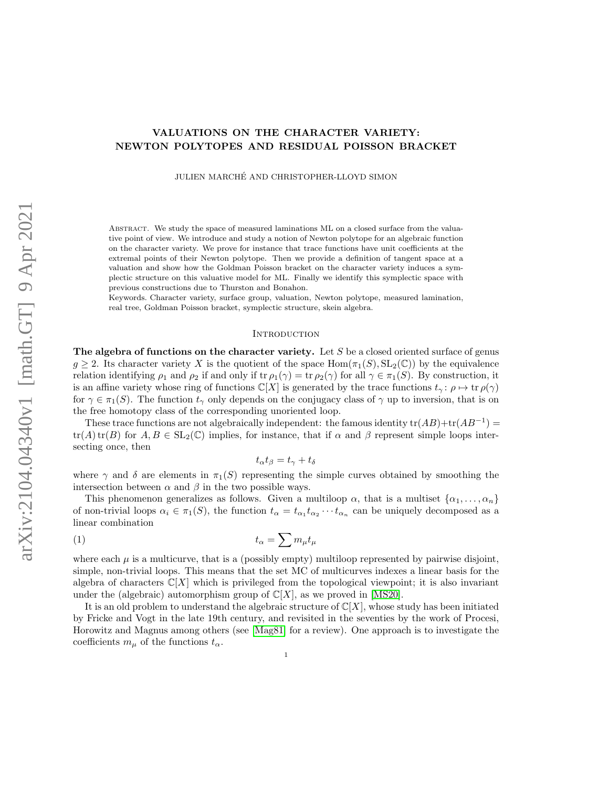# VALUATIONS ON THE CHARACTER VARIETY: NEWTON POLYTOPES AND RESIDUAL POISSON BRACKET

JULIEN MARCHE AND CHRISTOPHER-LLOYD SIMON ´

Abstract. We study the space of measured laminations ML on a closed surface from the valuative point of view. We introduce and study a notion of Newton polytope for an algebraic function on the character variety. We prove for instance that trace functions have unit coefficients at the extremal points of their Newton polytope. Then we provide a definition of tangent space at a valuation and show how the Goldman Poisson bracket on the character variety induces a symplectic structure on this valuative model for ML. Finally we identify this symplectic space with previous constructions due to Thurston and Bonahon.

Keywords. Character variety, surface group, valuation, Newton polytope, measured lamination, real tree, Goldman Poisson bracket, symplectic structure, skein algebra.

### <span id="page-0-0"></span>**INTRODUCTION**

The algebra of functions on the character variety. Let  $S$  be a closed oriented surface of genus  $g \geq 2$ . Its character variety X is the quotient of the space Hom $(\pi_1(S), SL_2(\mathbb{C}))$  by the equivalence relation identifying  $\rho_1$  and  $\rho_2$  if and only if tr  $\rho_1(\gamma) = \text{tr } \rho_2(\gamma)$  for all  $\gamma \in \pi_1(S)$ . By construction, it is an affine variety whose ring of functions  $\mathbb{C}[X]$  is generated by the trace functions  $t_{\gamma} : \rho \mapsto \text{tr } \rho(\gamma)$ for  $\gamma \in \pi_1(S)$ . The function  $t_\gamma$  only depends on the conjugacy class of  $\gamma$  up to inversion, that is on the free homotopy class of the corresponding unoriented loop.

These trace functions are not algebraically independent: the famous identity  $tr(AB) + tr(AB^{-1}) =$  $tr(A) tr(B)$  for  $A, B \in SL_2(\mathbb{C})$  implies, for instance, that if  $\alpha$  and  $\beta$  represent simple loops intersecting once, then

$$
t_{\alpha}t_{\beta}=t_{\gamma}+t_{\delta}
$$

where  $\gamma$  and  $\delta$  are elements in  $\pi_1(S)$  representing the simple curves obtained by smoothing the intersection between  $\alpha$  and  $\beta$  in the two possible ways.

This phenomenon generalizes as follows. Given a multiloop  $\alpha$ , that is a multiset  $\{\alpha_1, \ldots, \alpha_n\}$ of non-trivial loops  $\alpha_i \in \pi_1(S)$ , the function  $t_\alpha = t_{\alpha_1} t_{\alpha_2} \cdots t_{\alpha_n}$  can be uniquely decomposed as a linear combination

$$
(1) \t t_{\alpha} = \sum m_{\mu} t_{\mu}
$$

where each  $\mu$  is a multicurve, that is a (possibly empty) multiloop represented by pairwise disjoint, simple, non-trivial loops. This means that the set MC of multicurves indexes a linear basis for the algebra of characters  $\mathbb{C}[X]$  which is privileged from the topological viewpoint; it is also invariant under the (algebraic) automorphism group of  $\mathbb{C}[X]$ , as we proved in [\[MS20\]](#page-23-0).

It is an old problem to understand the algebraic structure of  $\mathbb{C}[X]$ , whose study has been initiated by Fricke and Vogt in the late 19th century, and revisited in the seventies by the work of Procesi, Horowitz and Magnus among others (see [\[Mag81\]](#page-23-1) for a review). One approach is to investigate the coefficients  $m_{\mu}$  of the functions  $t_{\alpha}$ .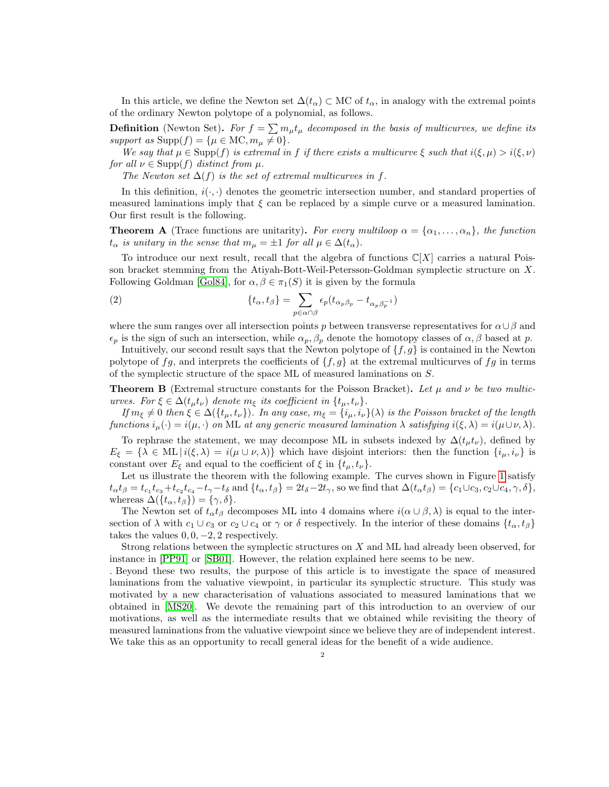In this article, we define the Newton set  $\Delta(t_\alpha) \subset \text{MC}$  of  $t_\alpha$ , in analogy with the extremal points of the ordinary Newton polytope of a polynomial, as follows.

**Definition** (Newton Set). For  $f = \sum m_{\mu} t_{\mu}$  decomposed in the basis of multicurves, we define its support as  $\text{Supp}(f) = \{\mu \in \text{MC}, m_{\mu} \neq 0\}.$ 

We say that  $\mu \in \text{Supp}(f)$  is extremal in f if there exists a multicurve  $\xi$  such that  $i(\xi, \mu) > i(\xi, \nu)$ for all  $\nu \in \text{Supp}(f)$  distinct from  $\mu$ .

The Newton set  $\Delta(f)$  is the set of extremal multicurves in f.

In this definition,  $i(\cdot, \cdot)$  denotes the geometric intersection number, and standard properties of measured laminations imply that  $\xi$  can be replaced by a simple curve or a measured lamination. Our first result is the following.

**Theorem A** (Trace functions are unitarity). For every multiloop  $\alpha = {\alpha_1, \ldots, \alpha_n}$ , the function  $t_{\alpha}$  is unitary in the sense that  $m_{\mu} = \pm 1$  for all  $\mu \in \Delta(t_{\alpha})$ .

To introduce our next result, recall that the algebra of functions  $\mathbb{C}[X]$  carries a natural Poisson bracket stemming from the Atiyah-Bott-Weil-Petersson-Goldman symplectic structure on X. Following Goldman [\[Gol84\]](#page-23-2), for  $\alpha, \beta \in \pi_1(S)$  it is given by the formula

<span id="page-1-1"></span>(2) 
$$
\{t_{\alpha}, t_{\beta}\} = \sum_{p \in \alpha \cap \beta} \epsilon_p (t_{\alpha_p \beta_p} - t_{\alpha_p \beta_p^{-1}})
$$

where the sum ranges over all intersection points p between transverse representatives for  $\alpha \cup \beta$  and  $\epsilon_p$  is the sign of such an intersection, while  $\alpha_p, \beta_p$  denote the homotopy classes of  $\alpha, \beta$  based at p.

Intuitively, our second result says that the Newton polytope of  $\{f, g\}$  is contained in the Newton polytope of fg, and interprets the coefficients of  $\{f, g\}$  at the extremal multicurves of fg in terms of the symplectic structure of the space ML of measured laminations on S.

<span id="page-1-0"></span>**Theorem B** (Extremal structure constants for the Poisson Bracket). Let  $\mu$  and  $\nu$  be two multicurves. For  $\xi \in \Delta(t_{\mu}t_{\nu})$  denote  $m_{\xi}$  its coefficient in  $\{t_{\mu}, t_{\nu}\}.$ 

If  $m_{\xi} \neq 0$  then  $\xi \in \Delta(\{t_{\mu}, t_{\nu}\})$ . In any case,  $m_{\xi} = \{i_{\mu}, i_{\nu}\}(\lambda)$  is the Poisson bracket of the length functions  $i_{\mu}(\cdot) = i(\mu, \cdot)$  on ML at any generic measured lamination  $\lambda$  satisfying  $i(\xi, \lambda) = i(\mu \cup \nu, \lambda)$ .

To rephrase the statement, we may decompose ML in subsets indexed by  $\Delta(t_{\mu}t_{\nu})$ , defined by  $E_{\xi} = \{\lambda \in \text{ML} \mid i(\xi, \lambda) = i(\mu \cup \nu, \lambda)\}\$  which have disjoint interiors: then the function  $\{i_{\mu}, i_{\nu}\}\$  is constant over  $E_{\xi}$  and equal to the coefficient of  $\xi$  in  $\{t_{\mu}, t_{\nu}\}.$ 

Let us illustrate the theorem with the following example. The curves shown in Figure [1](#page-2-0) satisfy  $t_{\alpha}t_{\beta}=t_{c_1}t_{c_3}+t_{c_2}t_{c_4}-t_{\gamma}-t_{\delta}$  and  $\{t_{\alpha},t_{\beta}\}=2t_{\delta}-2t_{\gamma}$ , so we find that  $\Delta(t_{\alpha}t_{\beta})=\{c_1\cup c_3,c_2\cup c_4,\gamma,\delta\},$ whereas  $\Delta({t_\alpha, t_\beta}) = {\gamma, \delta}.$ 

The Newton set of  $t_{\alpha}t_{\beta}$  decomposes ML into 4 domains where  $i(\alpha \cup \beta, \lambda)$  is equal to the intersection of  $\lambda$  with  $c_1 \cup c_3$  or  $c_2 \cup c_4$  or  $\gamma$  or  $\delta$  respectively. In the interior of these domains  $\{t_\alpha, t_\beta\}$ takes the values  $0, 0, -2, 2$  respectively.

Strong relations between the symplectic structures on X and ML had already been observed, for instance in [\[PP91\]](#page-23-3) or [\[SB01\]](#page-23-4). However, the relation explained here seems to be new.

. Beyond these two results, the purpose of this article is to investigate the space of measured laminations from the valuative viewpoint, in particular its symplectic structure. This study was motivated by a new characterisation of valuations associated to measured laminations that we obtained in [\[MS20\]](#page-23-0). We devote the remaining part of this introduction to an overview of our motivations, as well as the intermediate results that we obtained while revisiting the theory of measured laminations from the valuative viewpoint since we believe they are of independent interest. We take this as an opportunity to recall general ideas for the benefit of a wide audience.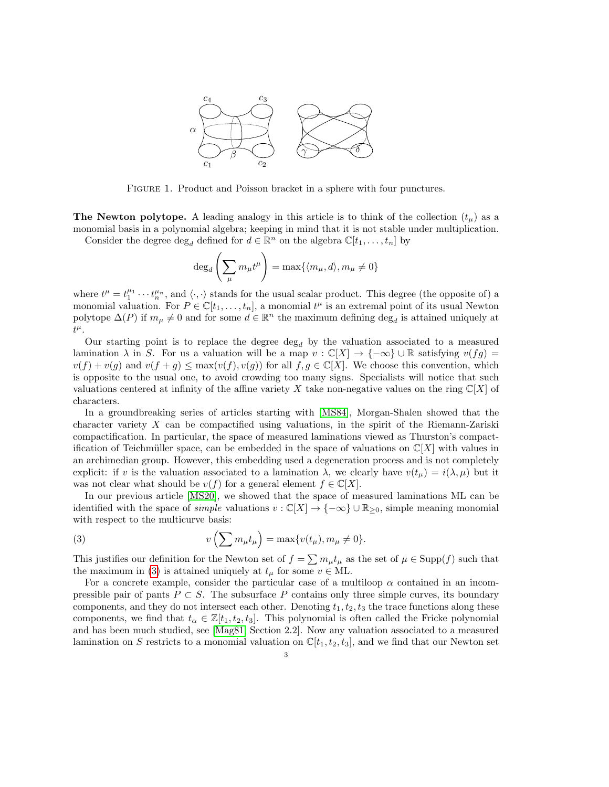

<span id="page-2-0"></span>Figure 1. Product and Poisson bracket in a sphere with four punctures.

The Newton polytope. A leading analogy in this article is to think of the collection  $(t_\mu)$  as a monomial basis in a polynomial algebra; keeping in mind that it is not stable under multiplication.

Consider the degree  $\deg_d$  defined for  $d \in \mathbb{R}^n$  on the algebra  $\mathbb{C}[t_1,\ldots,t_n]$  by

$$
\deg_d\left(\sum_{\mu}m_{\mu}t^{\mu}\right)=\max\{\langle m_{\mu},d\rangle,m_{\mu}\neq 0\}
$$

where  $t^{\mu} = t_1^{\mu_1} \cdots t_n^{\mu_n}$ , and  $\langle \cdot, \cdot \rangle$  stands for the usual scalar product. This degree (the opposite of) a monomial valuation. For  $P \in \mathbb{C}[t_1,\ldots,t_n]$ , a monomial  $t^{\mu}$  is an extremal point of its usual Newton polytope  $\Delta(P)$  if  $m_{\mu} \neq 0$  and for some  $d \in \mathbb{R}^n$  the maximum defining  $\deg_d$  is attained uniquely at  $t^{\mu}.$ 

Our starting point is to replace the degree  $\deg_d$  by the valuation associated to a measured lamination  $\lambda$  in S. For us a valuation will be a map  $v : \mathbb{C}[X] \to \{-\infty\} \cup \mathbb{R}$  satisfying  $v(fg) =$  $v(f) + v(g)$  and  $v(f + g) \leq \max(v(f), v(g))$  for all  $f, g \in \mathbb{C}[X]$ . We choose this convention, which is opposite to the usual one, to avoid crowding too many signs. Specialists will notice that such valuations centered at infinity of the affine variety X take non-negative values on the ring  $\mathbb{C}[X]$  of characters.

In a groundbreaking series of articles starting with [\[MS84\]](#page-23-5), Morgan-Shalen showed that the character variety  $X$  can be compactified using valuations, in the spirit of the Riemann-Zariski compactification. In particular, the space of measured laminations viewed as Thurston's compactification of Teichmüller space, can be embedded in the space of valuations on  $\mathbb{C}[X]$  with values in an archimedian group. However, this embedding used a degeneration process and is not completely explicit: if v is the valuation associated to a lamination  $\lambda$ , we clearly have  $v(t_\mu) = i(\lambda, \mu)$  but it was not clear what should be  $v(f)$  for a general element  $f \in \mathbb{C}[X]$ .

In our previous article [\[MS20\]](#page-23-0), we showed that the space of measured laminations ML can be identified with the space of *simple* valuations  $v : \mathbb{C}[X] \to \{-\infty\} \cup \mathbb{R}_{\geq 0}$ , simple meaning monomial with respect to the multicurve basis:

<span id="page-2-1"></span>(3) 
$$
v\left(\sum m_{\mu}t_{\mu}\right) = \max\{v(t_{\mu}), m_{\mu} \neq 0\}.
$$

This justifies our definition for the Newton set of  $f = \sum m_{\mu} t_{\mu}$  as the set of  $\mu \in \text{Supp}(f)$  such that the maximum in [\(3\)](#page-2-1) is attained uniquely at  $t_{\mu}$  for some  $v \in \text{ML}$ .

For a concrete example, consider the particular case of a multiloop  $\alpha$  contained in an incompressible pair of pants  $P \subset S$ . The subsurface P contains only three simple curves, its boundary components, and they do not intersect each other. Denoting  $t_1, t_2, t_3$  the trace functions along these components, we find that  $t_{\alpha} \in \mathbb{Z}[t_1, t_2, t_3]$ . This polynomial is often called the Fricke polynomial and has been much studied, see [\[Mag81,](#page-23-1) Section 2.2]. Now any valuation associated to a measured lamination on S restricts to a monomial valuation on  $\mathbb{C}[t_1, t_2, t_3]$ , and we find that our Newton set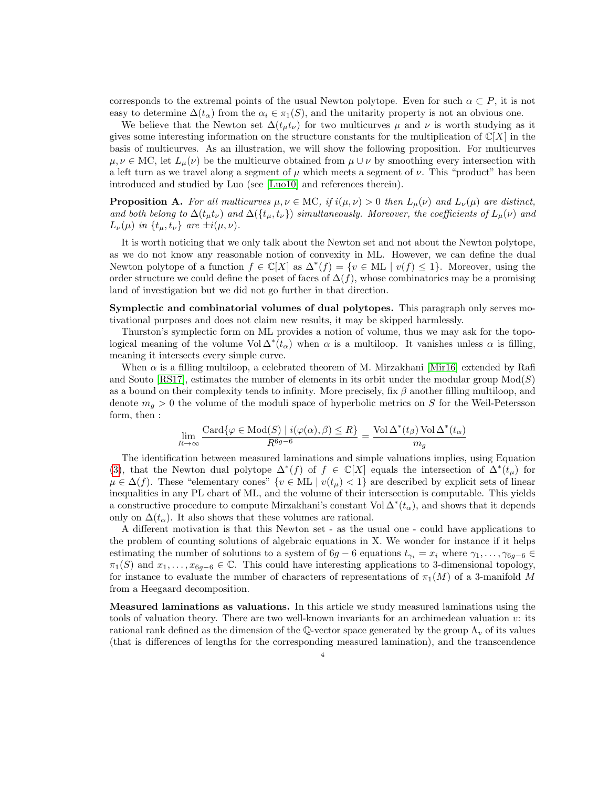corresponds to the extremal points of the usual Newton polytope. Even for such  $\alpha \subset P$ , it is not easy to determine  $\Delta(t_{\alpha})$  from the  $\alpha_i \in \pi_1(S)$ , and the unitarity property is not an obvious one.

We believe that the Newton set  $\Delta(t_{\mu}t_{\nu})$  for two multicurves  $\mu$  and  $\nu$  is worth studying as it gives some interesting information on the structure constants for the multiplication of  $\mathbb{C}[X]$  in the basis of multicurves. As an illustration, we will show the following proposition. For multicurves  $\mu, \nu \in \text{MC}$ , let  $L_{\mu}(\nu)$  be the multicurve obtained from  $\mu \cup \nu$  by smoothing every intersection with a left turn as we travel along a segment of  $\mu$  which meets a segment of  $\nu$ . This "product" has been introduced and studied by Luo (see [\[Luo10\]](#page-23-6) and references therein).

**Proposition A.** For all multicurves  $\mu, \nu \in \text{MC}$ , if  $i(\mu, \nu) > 0$  then  $L_{\mu}(\nu)$  and  $L_{\nu}(\mu)$  are distinct, and both belong to  $\Delta(t_\mu t_\nu)$  and  $\Delta({t_\mu,t_\nu})$  simultaneously. Moreover, the coefficients of  $L_\mu(\nu)$  and  $L_{\nu}(\mu)$  in  $\{t_{\mu}, t_{\nu}\}\$ are  $\pm i(\mu, \nu)$ .

It is worth noticing that we only talk about the Newton set and not about the Newton polytope, as we do not know any reasonable notion of convexity in ML. However, we can define the dual Newton polytope of a function  $f \in \mathbb{C}[X]$  as  $\Delta^*(f) = \{v \in \text{ML} \mid v(f) \leq 1\}$ . Moreover, using the order structure we could define the poset of faces of  $\Delta(f)$ , whose combinatorics may be a promising land of investigation but we did not go further in that direction.

Symplectic and combinatorial volumes of dual polytopes. This paragraph only serves motivational purposes and does not claim new results, it may be skipped harmlessly.

Thurston's symplectic form on ML provides a notion of volume, thus we may ask for the topological meaning of the volume  $Vol \Delta^*(t_\alpha)$  when  $\alpha$  is a multiloop. It vanishes unless  $\alpha$  is filling, meaning it intersects every simple curve.

When  $\alpha$  is a filling multiloop, a celebrated theorem of M. Mirzakhani [\[Mir16\]](#page-23-7) extended by Rafi and Souto [\[RS17\]](#page-23-8), estimates the number of elements in its orbit under the modular group  $Mod(S)$ as a bound on their complexity tends to infinity. More precisely, fix  $\beta$  another filling multiloop, and denote  $m_q > 0$  the volume of the moduli space of hyperbolic metrics on S for the Weil-Petersson form, then :

$$
\lim_{R \to \infty} \frac{\text{Card}\{\varphi \in \text{Mod}(S) \mid i(\varphi(\alpha), \beta) \le R\}}{R^{6g-6}} = \frac{\text{Vol}\,\Delta^*(t_\beta)\,\text{Vol}\,\Delta^*(t_\alpha)}{m_g}
$$

The identification between measured laminations and simple valuations implies, using Equation [\(3\)](#page-2-1), that the Newton dual polytope  $\Delta^*(f)$  of  $f \in \mathbb{C}[X]$  equals the intersection of  $\Delta^*(t_\mu)$  for  $\mu \in \Delta(f)$ . These "elementary cones"  $\{v \in \text{ML} \mid v(t_{\mu}) < 1\}$  are described by explicit sets of linear inequalities in any PL chart of ML, and the volume of their intersection is computable. This yields a constructive procedure to compute Mirzakhani's constant Vol $\Delta^*(t_\alpha)$ , and shows that it depends only on  $\Delta(t_{\alpha})$ . It also shows that these volumes are rational.

A different motivation is that this Newton set - as the usual one - could have applications to the problem of counting solutions of algebraic equations in X. We wonder for instance if it helps estimating the number of solutions to a system of  $6g - 6$  equations  $t_{\gamma_i} = x_i$  where  $\gamma_1, \ldots, \gamma_{6g-6} \in$  $\pi_1(S)$  and  $x_1, \ldots, x_{6q-6} \in \mathbb{C}$ . This could have interesting applications to 3-dimensional topology, for instance to evaluate the number of characters of representations of  $\pi_1(M)$  of a 3-manifold M from a Heegaard decomposition.

Measured laminations as valuations. In this article we study measured laminations using the tools of valuation theory. There are two well-known invariants for an archimedean valuation v: its rational rank defined as the dimension of the Q-vector space generated by the group  $\Lambda_v$  of its values (that is differences of lengths for the corresponding measured lamination), and the transcendence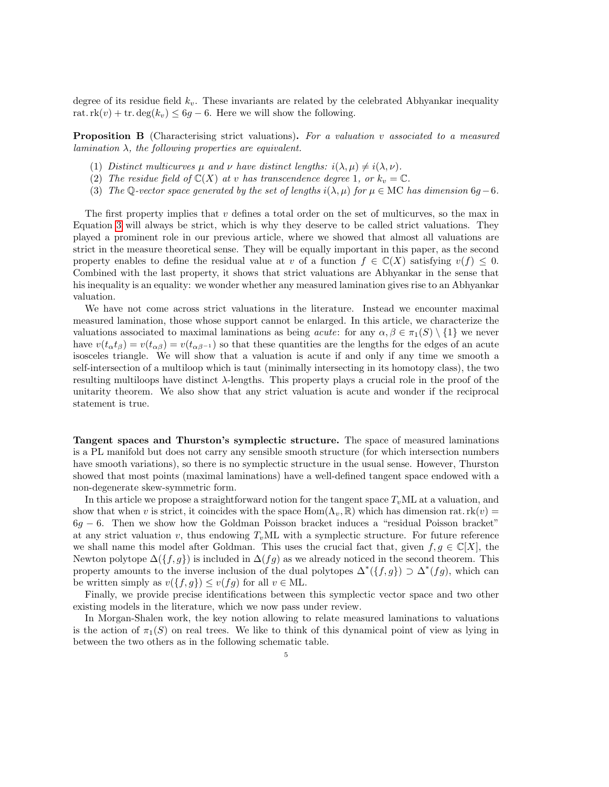degree of its residue field  $k_v$ . These invariants are related by the celebrated Abhyankar inequality rat.rk $(v)$  + tr.deg $(k_v) \leq 6g - 6$ . Here we will show the following.

**Proposition B** (Characterising strict valuations). For a valuation v associated to a measured lamination  $\lambda$ , the following properties are equivalent.

- (1) Distinct multicurves  $\mu$  and  $\nu$  have distinct lengths:  $i(\lambda, \mu) \neq i(\lambda, \nu)$ .
- (2) The residue field of  $\mathbb{C}(X)$  at v has transcendence degree 1, or  $k_v = \mathbb{C}$ .
- (3) The Q-vector space generated by the set of lengths  $i(\lambda, \mu)$  for  $\mu \in \text{MC}$  has dimension 6g 6.

The first property implies that  $v$  defines a total order on the set of multicurves, so the max in Equation [3](#page-2-1) will always be strict, which is why they deserve to be called strict valuations. They played a prominent role in our previous article, where we showed that almost all valuations are strict in the measure theoretical sense. They will be equally important in this paper, as the second property enables to define the residual value at v of a function  $f \in \mathbb{C}(X)$  satisfying  $v(f) \leq 0$ . Combined with the last property, it shows that strict valuations are Abhyankar in the sense that his inequality is an equality: we wonder whether any measured lamination gives rise to an Abhyankar valuation.

We have not come across strict valuations in the literature. Instead we encounter maximal measured lamination, those whose support cannot be enlarged. In this article, we characterize the valuations associated to maximal laminations as being *acute*: for any  $\alpha, \beta \in \pi_1(S) \setminus \{1\}$  we never have  $v(t_{\alpha}t_{\beta}) = v(t_{\alpha\beta}) = v(t_{\alpha\beta-1})$  so that these quantities are the lengths for the edges of an acute isosceles triangle. We will show that a valuation is acute if and only if any time we smooth a self-intersection of a multiloop which is taut (minimally intersecting in its homotopy class), the two resulting multiloops have distinct  $\lambda$ -lengths. This property plays a crucial role in the proof of the unitarity theorem. We also show that any strict valuation is acute and wonder if the reciprocal statement is true.

Tangent spaces and Thurston's symplectic structure. The space of measured laminations is a PL manifold but does not carry any sensible smooth structure (for which intersection numbers have smooth variations), so there is no symplectic structure in the usual sense. However, Thurston showed that most points (maximal laminations) have a well-defined tangent space endowed with a non-degenerate skew-symmetric form.

In this article we propose a straightforward notion for the tangent space  $T_vML$  at a valuation, and show that when v is strict, it coincides with the space  $Hom(\Lambda_v, \mathbb{R})$  which has dimension rat.  $rk(v) =$ 6g − 6. Then we show how the Goldman Poisson bracket induces a "residual Poisson bracket" at any strict valuation v, thus endowing  $T_vML$  with a symplectic structure. For future reference we shall name this model after Goldman. This uses the crucial fact that, given  $f, g \in \mathbb{C}[X]$ , the Newton polytope  $\Delta({f}, g)$  is included in  $\Delta(fg)$  as we already noticed in the second theorem. This property amounts to the inverse inclusion of the dual polytopes  $\Delta^*(f,g) \supset \Delta^*(fg)$ , which can be written simply as  $v({f, g}) \le v(fg)$  for all  $v \in ML$ .

Finally, we provide precise identifications between this symplectic vector space and two other existing models in the literature, which we now pass under review.

In Morgan-Shalen work, the key notion allowing to relate measured laminations to valuations is the action of  $\pi_1(S)$  on real trees. We like to think of this dynamical point of view as lying in between the two others as in the following schematic table.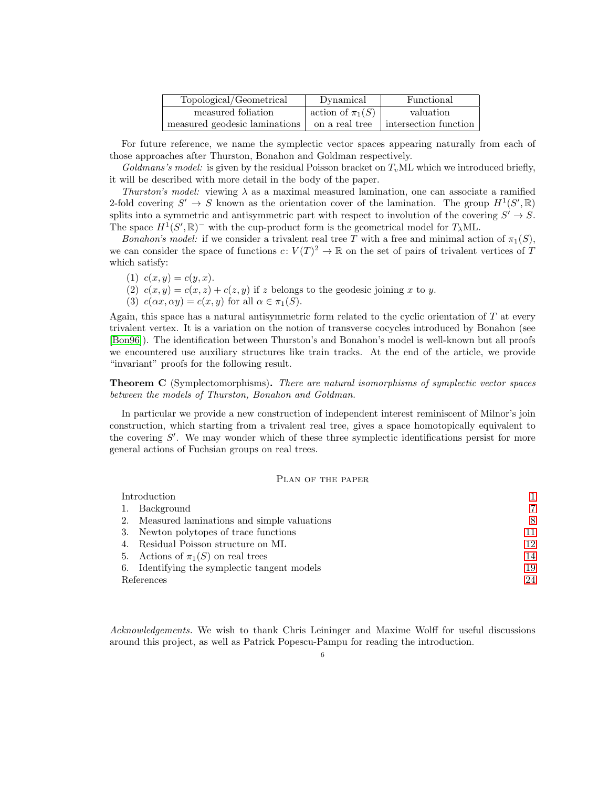| Topological/Geometrical       | Dynamical            | Functional            |
|-------------------------------|----------------------|-----------------------|
| measured foliation            | action of $\pi_1(S)$ | valuation             |
| measured geodesic laminations | on a real tree       | intersection function |

For future reference, we name the symplectic vector spaces appearing naturally from each of those approaches after Thurston, Bonahon and Goldman respectively.

Goldmans's model: is given by the residual Poisson bracket on  $T<sub>v</sub>ML$  which we introduced briefly, it will be described with more detail in the body of the paper.

Thurston's model: viewing  $\lambda$  as a maximal measured lamination, one can associate a ramified 2-fold covering  $S' \to S$  known as the orientation cover of the lamination. The group  $H^1(S', \mathbb{R})$ splits into a symmetric and antisymmetric part with respect to involution of the covering  $S' \to S$ . The space  $H^1(S', \mathbb{R})^-$  with the cup-product form is the geometrical model for  $T_\lambda ML$ .

Bonahon's model: if we consider a trivalent real tree T with a free and minimal action of  $\pi_1(S)$ , we can consider the space of functions  $c: V(T)^2 \to \mathbb{R}$  on the set of pairs of trivalent vertices of T which satisfy:

- (1)  $c(x, y) = c(y, x)$ .
- (2)  $c(x, y) = c(x, z) + c(z, y)$  if z belongs to the geodesic joining x to y.
- (3)  $c(\alpha x, \alpha y) = c(x, y)$  for all  $\alpha \in \pi_1(S)$ .

Again, this space has a natural antisymmetric form related to the cyclic orientation of  $T$  at every trivalent vertex. It is a variation on the notion of transverse cocycles introduced by Bonahon (see [\[Bon96\]](#page-23-9)). The identification between Thurston's and Bonahon's model is well-known but all proofs we encountered use auxiliary structures like train tracks. At the end of the article, we provide "invariant" proofs for the following result.

**Theorem C** (Symplectomorphisms). There are natural isomorphisms of symplectic vector spaces between the models of Thurston, Bonahon and Goldman.

In particular we provide a new construction of independent interest reminiscent of Milnor's join construction, which starting from a trivalent real tree, gives a space homotopically equivalent to the covering  $S'$ . We may wonder which of these three symplectic identifications persist for more general actions of Fuchsian groups on real trees.

# Plan of the paper

| Introduction                                  |    |
|-----------------------------------------------|----|
| 1. Background                                 | 7  |
| 2. Measured laminations and simple valuations | 8  |
| 3. Newton polytopes of trace functions        | 11 |
| 4. Residual Poisson structure on ML           | 12 |
| 5. Actions of $\pi_1(S)$ on real trees        | 14 |
| 6. Identifying the symplectic tangent models  | 19 |
| References                                    | 24 |

Acknowledgements. We wish to thank Chris Leininger and Maxime Wolff for useful discussions around this project, as well as Patrick Popescu-Pampu for reading the introduction.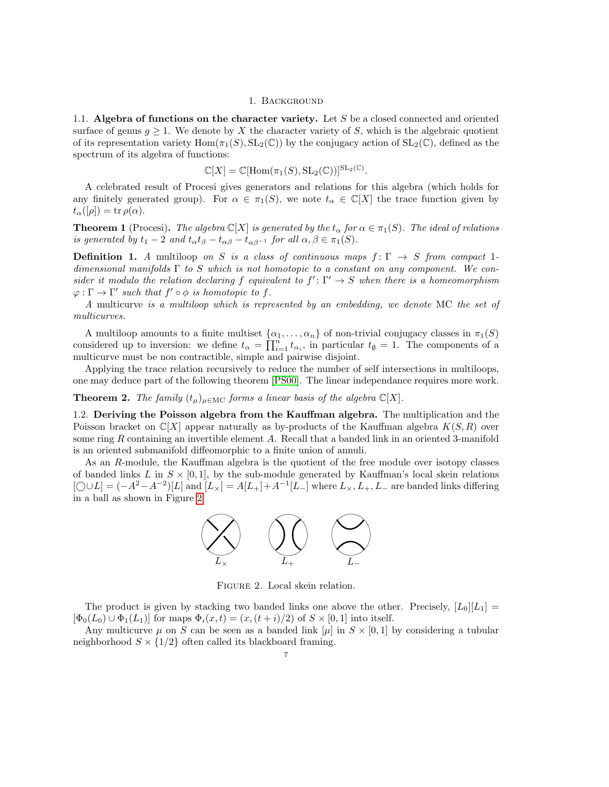#### 1. Background

<span id="page-6-0"></span>1.1. Algebra of functions on the character variety. Let  $S$  be a closed connected and oriented surface of genus  $g \geq 1$ . We denote by X the character variety of S, which is the algebraic quotient of its representation variety  $\text{Hom}(\pi_1(S), \text{SL}_2(\mathbb{C}))$  by the conjugacy action of  $\text{SL}_2(\mathbb{C})$ , defined as the spectrum of its algebra of functions:

$$
\mathbb{C}[X] = \mathbb{C}[\text{Hom}(\pi_1(S), \text{SL}_2(\mathbb{C}))]^{\text{SL}_2(\mathbb{C})}.
$$

A celebrated result of Procesi gives generators and relations for this algebra (which holds for any finitely generated group). For  $\alpha \in \pi_1(S)$ , we note  $t_\alpha \in \mathbb{C}[X]$  the trace function given by  $t_{\alpha}([\rho]) = \text{tr}\,\rho(\alpha).$ 

**Theorem 1** (Procesi). The algebra  $\mathbb{C}[X]$  is generated by the  $t_{\alpha}$  for  $\alpha \in \pi_1(S)$ . The ideal of relations is generated by  $t_1 - 2$  and  $t_\alpha t_\beta - t_{\alpha\beta} - t_{\alpha\beta-1}$  for all  $\alpha, \beta \in \pi_1(S)$ .

**Definition 1.** A multiloop on S is a class of continuous maps  $f: \Gamma \to S$  from compact 1dimensional manifolds  $\Gamma$  to S which is not homotopic to a constant on any component. We consider it modulo the relation declaring f equivalent to  $f' : \Gamma' \to S$  when there is a homeomorphism  $\varphi : \Gamma \to \Gamma'$  such that  $f' \circ \varphi$  is homotopic to f.

A multicurve is a multiloop which is represented by an embedding, we denote MC the set of multicurves.

A multiloop amounts to a finite multiset  $\{\alpha_1, \ldots, \alpha_n\}$  of non-trivial conjugacy classes in  $\pi_1(S)$ considered up to inversion: we define  $t_{\alpha} = \prod_{i=1}^{n} t_{\alpha_i}$ , in particular  $t_{\emptyset} = 1$ . The components of a multicurve must be non contractible, simple and pairwise disjoint.

Applying the trace relation recursively to reduce the number of self intersections in multiloops, one may deduce part of the following theorem [\[PS00\]](#page-23-11). The linear independance requires more work.

**Theorem 2.** The family  $(t_{\mu})_{\mu \in \text{MC}}$  forms a linear basis of the algebra  $\mathbb{C}[X]$ .

1.2. Deriving the Poisson algebra from the Kauffman algebra. The multiplication and the Poisson bracket on  $\mathbb{C}[X]$  appear naturally as by-products of the Kauffman algebra  $K(S, R)$  over some ring R containing an invertible element A. Recall that a banded link in an oriented 3-manifold is an oriented submanifold diffeomorphic to a finite union of annuli.

As an R-module, the Kauffman algebra is the quotient of the free module over isotopy classes of banded links L in  $S \times [0,1]$ , by the sub-module generated by Kauffman's local skein relations  $[\bigcirc \cup L] = (-A^2 - A^{-2})[L]$  and  $[L_{\times}] = A[L_{+}] + A^{-1}[L_{-}]$  where  $L_{\times}, L_{+}, L_{-}$  are banded links differing in a ball as shown in Figure [2.](#page-6-1)



<span id="page-6-1"></span>Figure 2. Local skein relation.

The product is given by stacking two banded links one above the other. Precisely,  $[L_0][L_1]$  =  $[\Phi_0(L_0) \cup \Phi_1(L_1)]$  for maps  $\Phi_i(x,t) = (x,(t+i)/2)$  of  $S \times [0,1]$  into itself.

Any multicurve  $\mu$  on S can be seen as a banded link  $[\mu]$  in  $S \times [0, 1]$  by considering a tubular neighborhood  $S \times \{1/2\}$  often called its blackboard framing.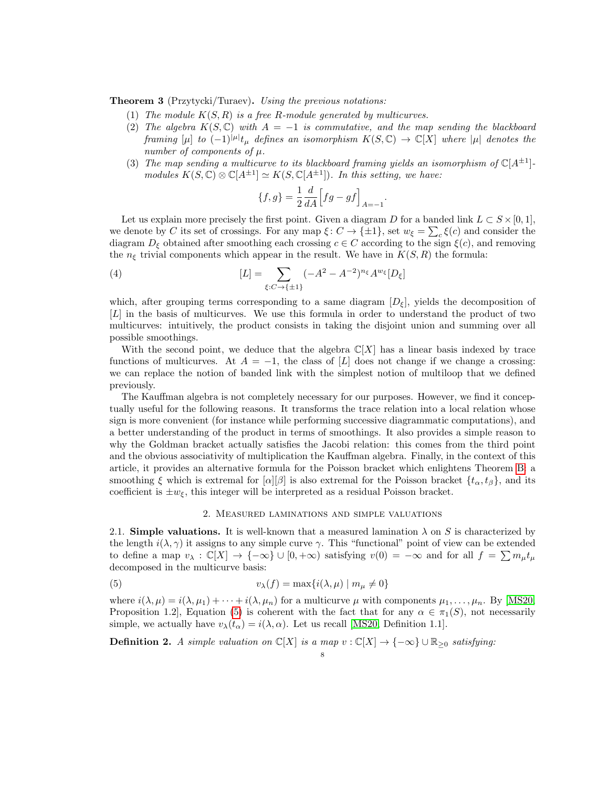**Theorem 3** (Przytycki/Turaev). Using the previous notations:

- (1) The module  $K(S, R)$  is a free R-module generated by multicurves.
- (2) The algebra  $K(S, \mathbb{C})$  with  $A = -1$  is commutative, and the map sending the blackboard framing  $[\mu]$  to  $(-1)^{|\mu|}t_{\mu}$  defines an isomorphism  $K(S,\mathbb{C}) \to \mathbb{C}[X]$  where  $|\mu|$  denotes the number of components of  $\mu$ .
- (3) The map sending a multicurve to its blackboard framing yields an isomorphism of  $\mathbb{C}[A^{\pm 1}]$ modules  $K(S, \mathbb{C}) \otimes \mathbb{C}[A^{\pm 1}] \simeq K(S, \mathbb{C}[A^{\pm 1}])$ . In this setting, we have:

<span id="page-7-3"></span>
$$
\{f,g\} = \frac{1}{2} \frac{d}{dA} \Big[ fg - gf \Big]_{A=-1}.
$$

Let us explain more precisely the first point. Given a diagram D for a banded link  $L \subset S \times [0, 1]$ , we denote by C its set of crossings. For any map  $\xi: C \to {\pm 1}$ , set  $w_{\xi} = \sum_{c} \xi(c)$  and consider the diagram  $D_{\xi}$  obtained after smoothing each crossing  $c \in C$  according to the sign  $\xi(c)$ , and removing the  $n_{\xi}$  trivial components which appear in the result. We have in  $K(S, R)$  the formula:

(4) 
$$
[L] = \sum_{\xi: C \to \{\pm 1\}} (-A^2 - A^{-2})^{n_{\xi}} A^{w_{\xi}} [D_{\xi}]
$$

which, after grouping terms corresponding to a same diagram  $[D<sub>\epsilon</sub>]$ , yields the decomposition of [L] in the basis of multicurves. We use this formula in order to understand the product of two multicurves: intuitively, the product consists in taking the disjoint union and summing over all possible smoothings.

With the second point, we deduce that the algebra  $\mathbb{C}[X]$  has a linear basis indexed by trace functions of multicurves. At  $A = -1$ , the class of [L] does not change if we change a crossing: we can replace the notion of banded link with the simplest notion of multiloop that we defined previously.

The Kauffman algebra is not completely necessary for our purposes. However, we find it conceptually useful for the following reasons. It transforms the trace relation into a local relation whose sign is more convenient (for instance while performing successive diagrammatic computations), and a better understanding of the product in terms of smoothings. It also provides a simple reason to why the Goldman bracket actually satisfies the Jacobi relation: this comes from the third point and the obvious associativity of multiplication the Kauffman algebra. Finally, in the context of this article, it provides an alternative formula for the Poisson bracket which enlightens Theorem [B:](#page-1-0) a smoothing  $\xi$  which is extremal for  $\alpha$ |[β] is also extremal for the Poisson bracket  $\{t_{\alpha}, t_{\beta}\}\)$ , and its coefficient is  $\pm w_{\xi}$ , this integer will be interpreted as a residual Poisson bracket.

# <span id="page-7-1"></span>2. Measured laminations and simple valuations

<span id="page-7-0"></span>2.1. Simple valuations. It is well-known that a measured lamination  $\lambda$  on S is characterized by the length  $i(\lambda, \gamma)$  it assigns to any simple curve  $\gamma$ . This "functional" point of view can be extended to define a map  $v_\lambda : \mathbb{C}[X] \to \{-\infty\} \cup [0, +\infty)$  satisfying  $v(0) = -\infty$  and for all  $f = \sum m_\mu t_\mu$ decomposed in the multicurve basis:

(5) 
$$
v_{\lambda}(f) = \max\{i(\lambda,\mu) \mid m_{\mu} \neq 0\}
$$

where  $i(\lambda, \mu) = i(\lambda, \mu_1) + \cdots + i(\lambda, \mu_n)$  for a multicurve  $\mu$  with components  $\mu_1, \ldots, \mu_n$ . By [\[MS20,](#page-23-0) Proposition 1.2], Equation [\(5\)](#page-7-1) is coherent with the fact that for any  $\alpha \in \pi_1(S)$ , not necessarily simple, we actually have  $v_{\lambda}(t_{\alpha}) = i(\lambda, \alpha)$ . Let us recall [\[MS20,](#page-23-0) Definition 1.1].

<span id="page-7-2"></span>**Definition 2.** A simple valuation on  $\mathbb{C}[X]$  is a map  $v : \mathbb{C}[X] \to \{-\infty\} \cup \mathbb{R}_{\geq 0}$  satisfying: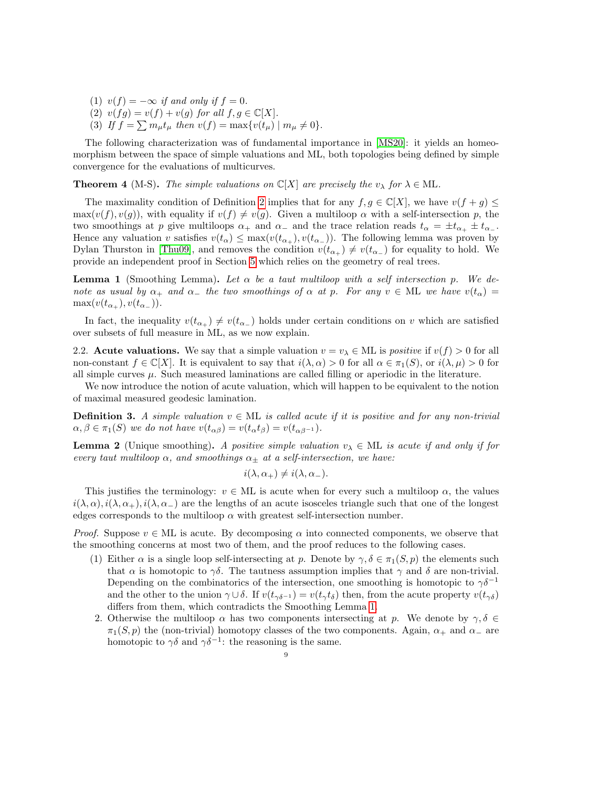- (1)  $v(f) = -\infty$  if and only if  $f = 0$ .
- (2)  $v(fg) = v(f) + v(g)$  for all  $f, g \in \mathbb{C}[X]$ .
- (3) If  $f = \sum m_{\mu} t_{\mu}$  then  $v(f) = \max\{v(t_{\mu}) \mid m_{\mu} \neq 0\}.$

The following characterization was of fundamental importance in [\[MS20\]](#page-23-0): it yields an homeomorphism between the space of simple valuations and ML, both topologies being defined by simple convergence for the evaluations of multicurves.

**Theorem 4** (M-S). The simple valuations on  $\mathbb{C}[X]$  are precisely the  $v_\lambda$  for  $\lambda \in \mathcal{ML}$ .

The maximality condition of Definition [2](#page-7-2) implies that for any  $f, g \in \mathbb{C}[X]$ , we have  $v(f + g) \leq$  $\max(v(f), v(g))$ , with equality if  $v(f) \neq v(g)$ . Given a multiloop  $\alpha$  with a self-intersection p, the two smoothings at p give multiloops  $\alpha_+$  and  $\alpha_-$  and the trace relation reads  $t_{\alpha} = \pm t_{\alpha_+} \pm t_{\alpha_-}$ . Hence any valuation v satisfies  $v(t_\alpha) \leq \max(v(t_{\alpha_+}), v(t_{\alpha_-}))$ . The following lemma was proven by Dylan Thurston in [\[Thu09\]](#page-23-12), and removes the condition  $v(t_{\alpha+}) \neq v(t_{\alpha-})$  for equality to hold. We provide an independent proof in Section [5](#page-13-0) which relies on the geometry of real trees.

<span id="page-8-0"></span>**Lemma 1** (Smoothing Lemma). Let  $\alpha$  be a taut multiloop with a self intersection p. We denote as usual by  $\alpha_+$  and  $\alpha_-$  the two smoothings of  $\alpha$  at p. For any  $v \in \text{ML}$  we have  $v(t_\alpha)$  $\max(v(t_{\alpha_+}), v(t_{\alpha_-})).$ 

In fact, the inequality  $v(t_{\alpha_+}) \neq v(t_{\alpha_-})$  holds under certain conditions on v which are satisfied over subsets of full measure in ML, as we now explain.

2.2. Acute valuations. We say that a simple valuation  $v = v_{\lambda} \in ML$  is *positive* if  $v(f) > 0$  for all non-constant  $f \in \mathbb{C}[X]$ . It is equivalent to say that  $i(\lambda, \alpha) > 0$  for all  $\alpha \in \pi_1(S)$ , or  $i(\lambda, \mu) > 0$  for all simple curves  $\mu$ . Such measured laminations are called filling or aperiodic in the literature.

We now introduce the notion of acute valuation, which will happen to be equivalent to the notion of maximal measured geodesic lamination.

<span id="page-8-1"></span>**Definition 3.** A simple valuation  $v \in ML$  is called acute if it is positive and for any non-trivial  $\alpha, \beta \in \pi_1(S)$  we do not have  $v(t_{\alpha\beta}) = v(t_{\alpha}t_{\beta}) = v(t_{\alpha\beta-1}).$ 

<span id="page-8-2"></span>**Lemma 2** (Unique smoothing). A positive simple valuation  $v_{\lambda} \in \text{ML}$  is acute if and only if for every taut multiloop  $\alpha$ , and smoothings  $\alpha_{\pm}$  at a self-intersection, we have:

$$
i(\lambda, \alpha_+) \neq i(\lambda, \alpha_-).
$$

This justifies the terminology:  $v \in ML$  is acute when for every such a multiloop  $\alpha$ , the values  $i(\lambda, \alpha)$ ,  $i(\lambda, \alpha_{+})$ ,  $i(\lambda, \alpha_{-})$  are the lengths of an acute isosceles triangle such that one of the longest edges corresponds to the multiloop  $\alpha$  with greatest self-intersection number.

*Proof.* Suppose  $v \in ML$  is acute. By decomposing  $\alpha$  into connected components, we observe that the smoothing concerns at most two of them, and the proof reduces to the following cases.

- (1) Either  $\alpha$  is a single loop self-intersecting at p. Denote by  $\gamma, \delta \in \pi_1(S, p)$  the elements such that  $\alpha$  is homotopic to  $\gamma\delta$ . The tautness assumption implies that  $\gamma$  and  $\delta$  are non-trivial. Depending on the combinatorics of the intersection, one smoothing is homotopic to  $\gamma \delta^{-1}$ and the other to the union  $\gamma \cup \delta$ . If  $v(t_{\gamma\delta-1}) = v(t_{\gamma}\tau_{\delta})$  then, from the acute property  $v(t_{\gamma\delta})$ differs from them, which contradicts the Smoothing Lemma [1.](#page-8-0)
- 2. Otherwise the multiloop  $\alpha$  has two components intersecting at p. We denote by  $\gamma, \delta \in$  $\pi_1(S, p)$  the (non-trivial) homotopy classes of the two components. Again,  $\alpha_+$  and  $\alpha_-$  are homotopic to  $\gamma \delta$  and  $\gamma \delta^{-1}$ : the reasoning is the same.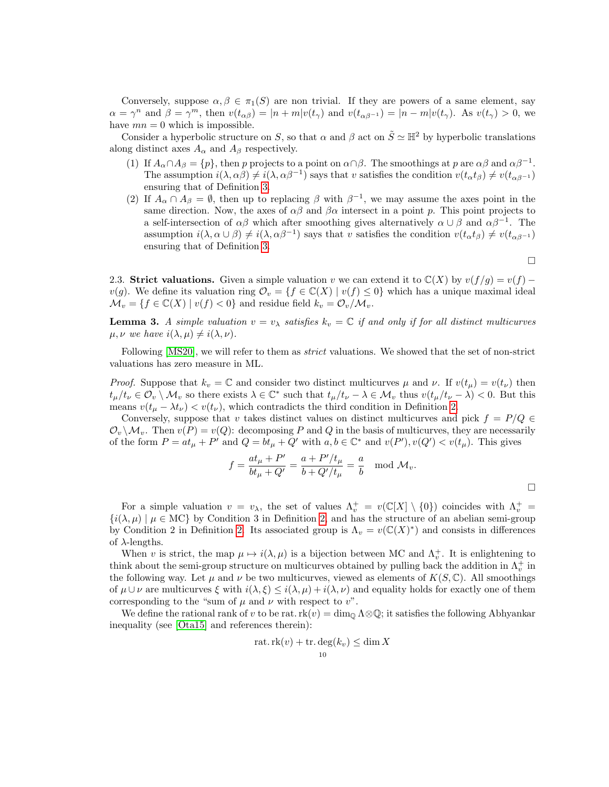Conversely, suppose  $\alpha, \beta \in \pi_1(S)$  are non trivial. If they are powers of a same element, say  $\alpha = \gamma^n$  and  $\beta = \gamma^m$ , then  $v(t_{\alpha\beta}) = |n+m|v(t_{\gamma})$  and  $v(t_{\alpha\beta^{-1}}) = |n-m|v(t_{\gamma})$ . As  $v(t_{\gamma}) > 0$ , we have  $mn = 0$  which is impossible.

Consider a hyperbolic structure on S, so that  $\alpha$  and  $\beta$  act on  $\tilde{S} \simeq \mathbb{H}^2$  by hyperbolic translations along distinct axes  $A_{\alpha}$  and  $A_{\beta}$  respectively.

- (1) If  $A_{\alpha} \cap A_{\beta} = \{p\}$ , then p projects to a point on  $\alpha \cap \beta$ . The smoothings at p are  $\alpha \beta$  and  $\alpha \beta^{-1}$ . The assumption  $i(\lambda, \alpha\beta) \neq i(\lambda, \alpha\beta^{-1})$  says that v satisfies the condition  $v(t_{\alpha}t_{\beta}) \neq v(t_{\alpha\beta^{-1}})$ ensuring that of Definition [3.](#page-8-1)
- (2) If  $A_{\alpha} \cap A_{\beta} = \emptyset$ , then up to replacing  $\beta$  with  $\beta^{-1}$ , we may assume the axes point in the same direction. Now, the axes of  $\alpha\beta$  and  $\beta\alpha$  intersect in a point p. This point projects to a self-intersection of  $\alpha\beta$  which after smoothing gives alternatively  $\alpha \cup \beta$  and  $\alpha\beta^{-1}$ . The assumption  $i(\lambda, \alpha \cup \beta) \neq i(\lambda, \alpha \beta^{-1})$  says that v satisfies the condition  $v(t_{\alpha}t_{\beta}) \neq v(t_{\alpha\beta^{-1}})$ ensuring that of Definition [3.](#page-8-1)

 $\Box$ 

2.3. Strict valuations. Given a simple valuation v we can extend it to  $\mathbb{C}(X)$  by  $v(f/g) = v(f)$  $v(g)$ . We define its valuation ring  $\mathcal{O}_v = \{f \in \mathbb{C}(X) \mid v(f) \leq 0\}$  which has a unique maximal ideal  $\mathcal{M}_v = \{f \in \mathbb{C}(X) \mid v(f) < 0\}$  and residue field  $k_v = \mathcal{O}_v/\mathcal{M}_v$ .

**Lemma 3.** A simple valuation  $v = v_\lambda$  satisfies  $k_v = \mathbb{C}$  if and only if for all distinct multicurves  $\mu, \nu$  we have  $i(\lambda, \mu) \neq i(\lambda, \nu)$ .

Following [\[MS20\]](#page-23-0), we will refer to them as *strict* valuations. We showed that the set of non-strict valuations has zero measure in ML.

*Proof.* Suppose that  $k_v = \mathbb{C}$  and consider two distinct multicurves  $\mu$  and  $\nu$ . If  $v(t_\mu) = v(t_\nu)$  then  $t_{\mu}/t_{\nu} \in \mathcal{O}_{v} \setminus \mathcal{M}_{v}$  so there exists  $\lambda \in \mathbb{C}^{*}$  such that  $t_{\mu}/t_{\nu} - \lambda \in \mathcal{M}_{v}$  thus  $v(t_{\mu}/t_{\nu} - \lambda) < 0$ . But this means  $v(t_\mu - \lambda t_\nu) < v(t_\nu)$ , which contradicts the third condition in Definition [2.](#page-7-2)

Conversely, suppose that v takes distinct values on distinct multicurves and pick  $f = P/Q \in$  $\mathcal{O}_v \backslash \mathcal{M}_v$ . Then  $v(P) = v(Q)$ : decomposing P and Q in the basis of multicurves, they are necessarily of the form  $P = at_{\mu} + P'$  and  $Q = bt_{\mu} + Q'$  with  $a, b \in \mathbb{C}^*$  and  $v(P'), v(Q') < v(t_{\mu})$ . This gives

$$
f = \frac{at_{\mu} + P'}{bt_{\mu} + Q'} = \frac{a + P'/t_{\mu}}{b + Q'/t_{\mu}} = \frac{a}{b} \mod \mathcal{M}_v.
$$

For a simple valuation  $v = v_{\lambda}$ , the set of values  $\Lambda_v^+ = v(\mathbb{C}[X] \setminus \{0\})$  coincides with  $\Lambda_v^+ =$  $\{i(\lambda,\mu) \mid \mu \in \text{MC}\}\)$  by Condition 3 in Definition [2,](#page-7-2) and has the structure of an abelian semi-group by Condition 2 in Definition [2.](#page-7-2) Its associated group is  $\Lambda_v = v(\mathbb{C}(X)^*)$  and consists in differences of  $\lambda$ -lengths.

When v is strict, the map  $\mu \mapsto i(\lambda, \mu)$  is a bijection between MC and  $\Lambda_v^+$ . It is enlightening to think about the semi-group structure on multicurves obtained by pulling back the addition in  $\Lambda_v^+$  in the following way. Let  $\mu$  and  $\nu$  be two multicurves, viewed as elements of  $K(S, \mathbb{C})$ . All smoothings of  $\mu \cup \nu$  are multicurves  $\xi$  with  $i(\lambda, \xi) \leq i(\lambda, \mu) + i(\lambda, \nu)$  and equality holds for exactly one of them corresponding to the "sum of  $\mu$  and  $\nu$  with respect to  $v$ ".

We define the rational rank of v to be rat.  $rk(v) = \dim_{\mathbb{Q}} \Lambda \otimes \mathbb{Q}$ ; it satisfies the following Abhyankar inequality (see [\[Ota15\]](#page-23-13) and references therein):

$$
rat.rk(v) + tr \cdot deg(k_v) \le \dim X
$$
  

$$
10
$$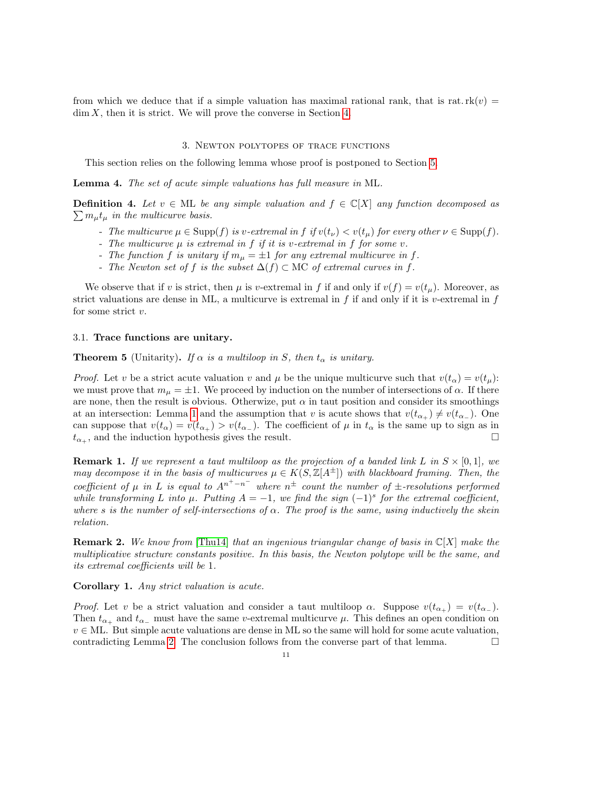from which we deduce that if a simple valuation has maximal rational rank, that is rat.  $rk(v)$  =  $\dim X$ , then it is strict. We will prove the converse in Section [4.](#page-11-0)

#### 3. Newton polytopes of trace functions

<span id="page-10-0"></span>This section relies on the following lemma whose proof is postponed to Section [5.](#page-13-0)

Lemma 4. The set of acute simple valuations has full measure in ML.

**Definition 4.** Let  $v \in ML$  be any simple valuation and  $f \in C[X]$  any function decomposed as  $\sum m_{\mu} t_{\mu}$  in the multicurve basis.

- The multicurve  $\mu \in \text{Supp}(f)$  is v-extremal in f if  $v(t_{\mu}) < v(t_{\mu})$  for every other  $\nu \in \text{Supp}(f)$ .
- The multicurve  $\mu$  is extremal in f if it is v-extremal in f for some v.
- The function f is unitary if  $m_{\mu} = \pm 1$  for any extremal multicurve in f.
- The Newton set of f is the subset  $\Delta(f) \subset \text{MC}$  of extremal curves in f.

We observe that if v is strict, then  $\mu$  is v-extremal in f if and only if  $v(f) = v(t_\mu)$ . Moreover, as strict valuations are dense in ML, a multicurve is extremal in f if and only if it is v-extremal in f for some strict  $v$ .

## 3.1. Trace functions are unitary.

**Theorem 5** (Unitarity). If  $\alpha$  is a multiloop in S, then  $t_{\alpha}$  is unitary.

*Proof.* Let v be a strict acute valuation v and  $\mu$  be the unique multicurve such that  $v(t_{\alpha}) = v(t_{\mu})$ : we must prove that  $m_{\mu} = \pm 1$ . We proceed by induction on the number of intersections of  $\alpha$ . If there are none, then the result is obvious. Otherwize, put  $\alpha$  in taut position and consider its smoothings at an intersection: Lemma [1](#page-8-0) and the assumption that v is acute shows that  $v(t_{\alpha_+}) \neq v(t_{\alpha_-})$ . One can suppose that  $v(t_{\alpha}) = v(t_{\alpha_{+}}) > v(t_{\alpha_{-}})$ . The coefficient of  $\mu$  in  $t_{\alpha}$  is the same up to sign as in  $t_{\alpha_+}$ , and the induction hypothesis gives the result.

**Remark 1.** If we represent a taut multiloop as the projection of a banded link L in  $S \times [0,1]$ , we may decompose it in the basis of multicurves  $\mu \in K(S, \mathbb{Z}[A^{\pm}])$  with blackboard framing. Then, the coefficient of  $\mu$  in L is equal to  $A^{n^+-n^-}$  where  $n^{\pm}$  count the number of  $\pm$ -resolutions performed while transforming L into  $\mu$ . Putting  $A = -1$ , we find the sign  $(-1)^s$  for the extremal coefficient, where s is the number of self-intersections of  $\alpha$ . The proof is the same, using inductively the skein relation.

**Remark 2.** We know from [\[Thu14\]](#page-23-14) that an ingenious triangular change of basis in  $\mathbb{C}[X]$  make the multiplicative structure constants positive. In this basis, the Newton polytope will be the same, and its extremal coefficients will be 1.

Corollary 1. Any strict valuation is acute.

*Proof.* Let v be a strict valuation and consider a taut multiloop  $\alpha$ . Suppose  $v(t_{\alpha_+}) = v(t_{\alpha_-}).$ Then  $t_{\alpha_+}$  and  $t_{\alpha_-}$  must have the same v-extremal multicurve  $\mu$ . This defines an open condition on  $v \in \text{ML}$ . But simple acute valuations are dense in ML so the same will hold for some acute valuation, contradicting Lemma [2.](#page-8-2) The conclusion follows from the converse part of that lemma.  $\Box$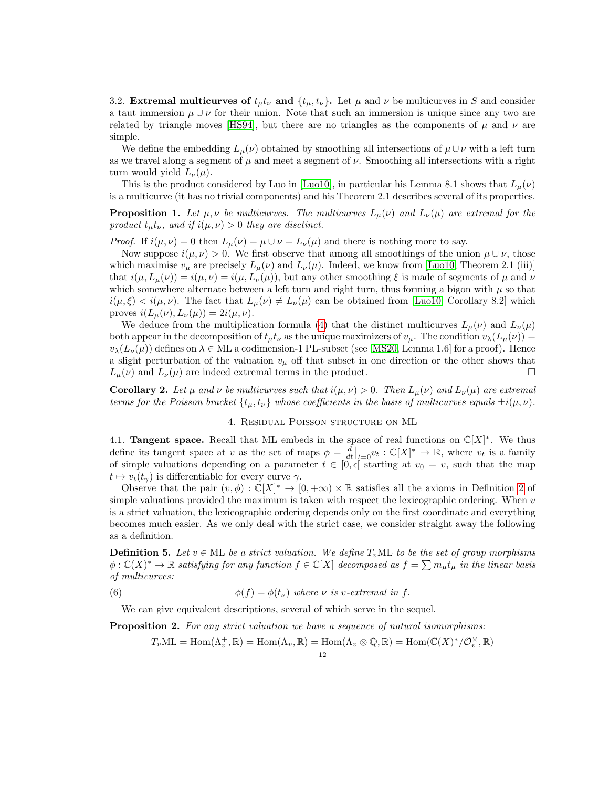3.2. Extremal multicurves of  $t_{\mu}t_{\nu}$  and  $\{t_{\mu}, t_{\nu}\}\$ . Let  $\mu$  and  $\nu$  be multicurves in S and consider a taut immersion  $\mu \cup \nu$  for their union. Note that such an immersion is unique since any two are related by triangle moves [\[HS94\]](#page-23-15), but there are no triangles as the components of  $\mu$  and  $\nu$  are simple.

We define the embedding  $L_{\mu}(\nu)$  obtained by smoothing all intersections of  $\mu \cup \nu$  with a left turn as we travel along a segment of  $\mu$  and meet a segment of  $\nu$ . Smoothing all intersections with a right turn would yield  $L_{\nu}(\mu)$ .

This is the product considered by Luo in [\[Luo10\]](#page-23-6), in particular his Lemma 8.1 shows that  $L_{\mu}(\nu)$ is a multicurve (it has no trivial components) and his Theorem 2.1 describes several of its properties.

**Proposition 1.** Let  $\mu, \nu$  be multicurves. The multicurves  $L_{\mu}(\nu)$  and  $L_{\nu}(\mu)$  are extremal for the product  $t_{\mu}t_{\nu}$ , and if  $i(\mu, \nu) > 0$  they are disctinct.

*Proof.* If  $i(\mu, \nu) = 0$  then  $L_{\mu}(\nu) = \mu \cup \nu = L_{\nu}(\mu)$  and there is nothing more to say.

Now suppose  $i(\mu, \nu) > 0$ . We first observe that among all smoothings of the union  $\mu \cup \nu$ , those which maximise  $v_{\mu}$  are precisely  $L_{\mu}(\nu)$  and  $L_{\nu}(\mu)$ . Indeed, we know from [\[Luo10,](#page-23-6) Theorem 2.1 (iii)] that  $i(\mu, L_{\mu}(\nu)) = i(\mu, \nu) = i(\mu, L_{\nu}(\mu))$ , but any other smoothing  $\xi$  is made of segments of  $\mu$  and  $\nu$ which somewhere alternate between a left turn and right turn, thus forming a bigon with  $\mu$  so that  $i(\mu, \xi) < i(\mu, \nu)$ . The fact that  $L_{\mu}(\nu) \neq L_{\nu}(\mu)$  can be obtained from [\[Luo10,](#page-23-6) Corollary 8.2] which proves  $i(L_\mu(\nu), L_\nu(\mu)) = 2i(\mu, \nu)$ .

We deduce from the multiplication formula [\(4\)](#page-7-3) that the distinct multicurves  $L_{\mu}(\nu)$  and  $L_{\nu}(\mu)$ both appear in the decomposition of  $t_{\mu}t_{\nu}$  as the unique maximizers of  $v_{\mu}$ . The condition  $v_{\lambda}(L_{\mu}(\nu))$  =  $v_{\lambda}(L_{\nu}(\mu))$  defines on  $\lambda \in \text{ML}$  a codimension-1 PL-subset (see [\[MS20,](#page-23-0) Lemma 1.6] for a proof). Hence a slight perturbation of the valuation  $v_{\mu}$  off that subset in one direction or the other shows that  $L_{\mu}(\nu)$  and  $L_{\nu}(\mu)$  are indeed extremal terms in the product.

**Corollary 2.** Let  $\mu$  and  $\nu$  be multicurves such that  $i(\mu, \nu) > 0$ . Then  $L_{\mu}(\nu)$  and  $L_{\nu}(\mu)$  are extremal terms for the Poisson bracket  $\{t_{\mu}, t_{\nu}\}\$  whose coefficients in the basis of multicurves equals  $\pm i(\mu, \nu)$ .

# 4. Residual Poisson structure on ML

<span id="page-11-0"></span>4.1. **Tangent space.** Recall that ML embeds in the space of real functions on  $\mathbb{C}[X]^*$ . We thus define its tangent space at v as the set of maps  $\phi = \frac{d}{dt}\Big|_{t=0} v_t : \mathbb{C}[X]^* \to \mathbb{R}$ , where  $v_t$  is a family of simple valuations depending on a parameter  $t \in [0, \epsilon]$  starting at  $v_0 = v$ , such that the map  $t \mapsto v_t(t_\gamma)$  is differentiable for every curve  $\gamma$ .

Observe that the pair  $(v, \phi) : \mathbb{C}[X]^* \to [0, +\infty) \times \mathbb{R}$  satisfies all the axioms in Definition [2](#page-7-2) of simple valuations provided the maximum is taken with respect the lexicographic ordering. When  $v$ is a strict valuation, the lexicographic ordering depends only on the first coordinate and everything becomes much easier. As we only deal with the strict case, we consider straight away the following as a definition.

**Definition 5.** Let  $v \in ML$  be a strict valuation. We define  $T_vML$  to be the set of group morphisms  $\phi : \mathbb{C}(X)^* \to \mathbb{R}$  satisfying for any function  $f \in \mathbb{C}[X]$  decomposed as  $f = \sum m_\mu t_\mu$  in the linear basis of multicurves:

(6) 
$$
\phi(f) = \phi(t_{\nu}) \text{ where } \nu \text{ is } v\text{-extremal in } f.
$$

We can give equivalent descriptions, several of which serve in the sequel.

<span id="page-11-1"></span>**Proposition 2.** For any strict valuation we have a sequence of natural isomorphisms:

<span id="page-11-2"></span> $T_vML = \text{Hom}(\Lambda_v^+, \mathbb{R}) = \text{Hom}(\Lambda_v, \mathbb{R}) = \text{Hom}(\Lambda_v \otimes \mathbb{Q}, \mathbb{R}) = \text{Hom}(\mathbb{C}(X)^*/\mathcal{O}_v^{\times}, \mathbb{R})$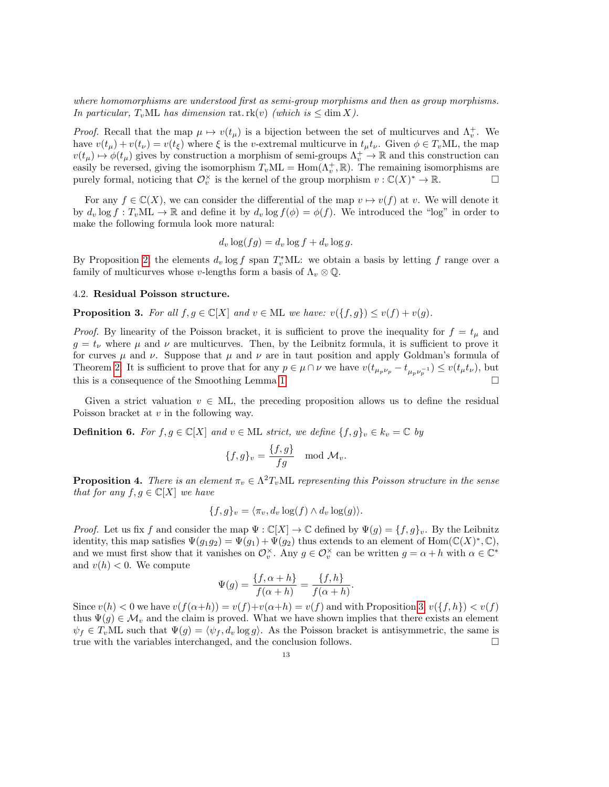where homomorphisms are understood first as semi-group morphisms and then as group morphisms. In particular,  $T_vML$  has dimension rat.  $rk(v)$  (which is  $\leq \dim X$ ).

*Proof.* Recall that the map  $\mu \mapsto v(t_\mu)$  is a bijection between the set of multicurves and  $\Lambda_v^+$ . We have  $v(t_\mu) + v(t_\nu) = v(t_\xi)$  where  $\xi$  is the v-extremal multicurve in  $t_\mu t_\nu$ . Given  $\phi \in T_vML$ , the map  $v(t_\mu) \mapsto \phi(t_\mu)$  gives by construction a morphism of semi-groups  $\Lambda_v^+ \to \mathbb{R}$  and this construction can easily be reversed, giving the isomorphism  $T_vML = \text{Hom}(\Lambda_v^+, \mathbb{R})$ . The remaining isomorphisms are purely formal, noticing that  $\mathcal{O}_v^{\times}$  is the kernel of the group morphism  $v : \mathbb{C}(X)^* \to \mathbb{R}$ .

For any  $f \in \mathbb{C}(X)$ , we can consider the differential of the map  $v \mapsto v(f)$  at v. We will denote it by  $d_v \log f : T_vML \to \mathbb{R}$  and define it by  $d_v \log f(\phi) = \phi(f)$ . We introduced the "log" in order to make the following formula look more natural:

$$
d_v \log(fg) = d_v \log f + d_v \log g.
$$

By Proposition [2,](#page-11-1) the elements  $d_v \log f$  span  $T_v^*$ ML: we obtain a basis by letting f range over a family of multicurves whose v-lengths form a basis of  $\Lambda_v \otimes \mathbb{Q}$ .

# 4.2. Residual Poisson structure.

<span id="page-12-0"></span>**Proposition 3.** For all  $f, g \in \mathbb{C}[X]$  and  $v \in \mathcal{M}$  we have:  $v(\lbrace f, g \rbrace) \leq v(f) + v(g)$ .

*Proof.* By linearity of the Poisson bracket, it is sufficient to prove the inequality for  $f = t_{\mu}$  and  $g = t_{\nu}$  where  $\mu$  and  $\nu$  are multicurves. Then, by the Leibnitz formula, it is sufficient to prove it for curves  $\mu$  and  $\nu$ . Suppose that  $\mu$  and  $\nu$  are in taut position and apply Goldman's formula of Theorem [2.](#page-1-1) It is sufficient to prove that for any  $p \in \mu \cap \nu$  we have  $v(t_{\mu_p \nu_p} - t_{\mu_p \nu_p^{-1}}) \leq v(t_\mu t_\nu)$ , but this is a consequence of the Smoothing Lemma [1.](#page-8-0)

Given a strict valuation  $v \in ML$ , the preceding proposition allows us to define the residual Poisson bracket at v in the following way.

**Definition 6.** For  $f, g \in \mathbb{C}[X]$  and  $v \in \mathbb{M}$  strict, we define  $\{f, g\}_v \in k_v = \mathbb{C}$  by

$$
\{f,g\}_v = \frac{\{f,g\}}{fg} \mod \mathcal{M}_v.
$$

**Proposition 4.** There is an element  $\pi_v \in \Lambda^2 T_vML$  representing this Poisson structure in the sense that for any  $f, g \in \mathbb{C}[X]$  we have

$$
\{f,g\}_v = \langle \pi_v, d_v \log(f) \wedge d_v \log(g) \rangle.
$$

*Proof.* Let us fix f and consider the map  $\Psi : \mathbb{C}[X] \to \mathbb{C}$  defined by  $\Psi(g) = \{f, g\}_v$ . By the Leibnitz identity, this map satisfies  $\Psi(g_1g_2) = \Psi(g_1) + \Psi(g_2)$  thus extends to an element of  $\text{Hom}(\mathbb{C}(X)^*, \mathbb{C}),$ and we must first show that it vanishes on  $\mathcal{O}_v^{\times}$ . Any  $g \in \mathcal{O}_v^{\times}$  can be written  $g = \alpha + h$  with  $\alpha \in \mathbb{C}^*$ and  $v(h) < 0$ . We compute

$$
\Psi(g) = \frac{\{f, \alpha + h\}}{f(\alpha + h)} = \frac{\{f, h\}}{f(\alpha + h)}.
$$

Since  $v(h) < 0$  we have  $v(f(\alpha+h)) = v(f)+v(\alpha+h) = v(f)$  and with Proposition [3,](#page-12-0)  $v(\lbrace f, h \rbrace) < v(f)$ thus  $\Psi(g) \in \mathcal{M}_v$  and the claim is proved. What we have shown implies that there exists an element  $\psi_f \in T_vML$  such that  $\Psi(g) = \langle \psi_f, d_v \log g \rangle$ . As the Poisson bracket is antisymmetric, the same is true with the variables interchanged, and the conclusion follows.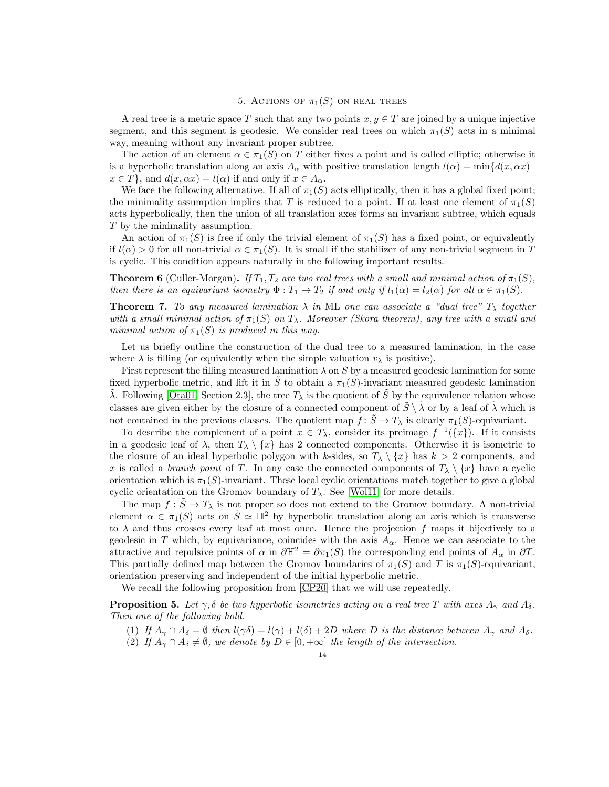## 5. ACTIONS OF  $\pi_1(S)$  ON REAL TREES

<span id="page-13-0"></span>A real tree is a metric space T such that any two points  $x, y \in T$  are joined by a unique injective segment, and this segment is geodesic. We consider real trees on which  $\pi_1(S)$  acts in a minimal way, meaning without any invariant proper subtree.

The action of an element  $\alpha \in \pi_1(S)$  on T either fixes a point and is called elliptic; otherwise it is a hyperbolic translation along an axis  $A_{\alpha}$  with positive translation length  $l(\alpha) = \min\{d(x, \alpha x) \mid$  $x \in T$ , and  $d(x, \alpha x) = l(\alpha)$  if and only if  $x \in A_{\alpha}$ .

We face the following alternative. If all of  $\pi_1(S)$  acts elliptically, then it has a global fixed point; the minimality assumption implies that T is reduced to a point. If at least one element of  $\pi_1(S)$ acts hyperbolically, then the union of all translation axes forms an invariant subtree, which equals T by the minimality assumption.

An action of  $\pi_1(S)$  is free if only the trivial element of  $\pi_1(S)$  has a fixed point, or equivalently if  $l(\alpha) > 0$  for all non-trivial  $\alpha \in \pi_1(S)$ . It is small if the stabilizer of any non-trivial segment in T is cyclic. This condition appears naturally in the following important results.

**Theorem 6** (Culler-Morgan). If  $T_1, T_2$  are two real trees with a small and minimal action of  $\pi_1(S)$ , then there is an equivariant isometry  $\Phi: T_1 \to T_2$  if and only if  $l_1(\alpha) = l_2(\alpha)$  for all  $\alpha \in \pi_1(S)$ .

**Theorem 7.** To any measured lamination  $\lambda$  in ML one can associate a "dual tree"  $T_{\lambda}$  together with a small minimal action of  $\pi_1(S)$  on  $T_\lambda$ . Moreover (Skora theorem), any tree with a small and minimal action of  $\pi_1(S)$  is produced in this way.

Let us briefly outline the construction of the dual tree to a measured lamination, in the case where  $\lambda$  is filling (or equivalently when the simple valuation  $v_{\lambda}$  is positive).

First represent the filling measured lamination  $\lambda$  on S by a measured geodesic lamination for some fixed hyperbolic metric, and lift it in  $\tilde{S}$  to obtain a  $\pi_1(S)$ -invariant measured geodesic lamination  $\tilde{\lambda}$ . Following [\[Ota01,](#page-23-16) Section 2.3], the tree  $T_{\lambda}$  is the quotient of  $\tilde{S}$  by the equivalence relation whose classes are given either by the closure of a connected component of  $\tilde{S} \setminus \tilde{\lambda}$  or by a leaf of  $\tilde{\lambda}$  which is not contained in the previous classes. The quotient map  $f: \tilde{S} \to T_\lambda$  is clearly  $\pi_1(S)$ -equivariant.

To describe the complement of a point  $x \in T_\lambda$ , consider its preimage  $f^{-1}(\lbrace x \rbrace)$ . If it consists in a geodesic leaf of  $\lambda$ , then  $T_\lambda \setminus \{x\}$  has 2 connected components. Otherwise it is isometric to the closure of an ideal hyperbolic polygon with k-sides, so  $T_{\lambda} \setminus \{x\}$  has  $k > 2$  components, and x is called a *branch point* of T. In any case the connected components of  $T_{\lambda} \setminus \{x\}$  have a cyclic orientation which is  $\pi_1(S)$ -invariant. These local cyclic orientations match together to give a global cyclic orientation on the Gromov boundary of  $T_{\lambda}$ . See [\[Wol11\]](#page-23-17) for more details.

The map  $f : \tilde{S} \to T_\lambda$  is not proper so does not extend to the Gromov boundary. A non-trivial element  $\alpha \in \pi_1(S)$  acts on  $S \simeq \mathbb{H}^2$  by hyperbolic translation along an axis which is transverse to  $\lambda$  and thus crosses every leaf at most once. Hence the projection f maps it bijectively to a geodesic in T which, by equivariance, coincides with the axis  $A_{\alpha}$ . Hence we can associate to the attractive and repulsive points of  $\alpha$  in  $\partial \mathbb{H}^2 = \partial \pi_1(S)$  the corresponding end points of  $A_\alpha$  in  $\partial T$ . This partially defined map between the Gromov boundaries of  $\pi_1(S)$  and T is  $\pi_1(S)$ -equivariant, orientation preserving and independent of the initial hyperbolic metric.

We recall the following proposition from [\[CP20\]](#page-23-18) that we will use repeatedly.

<span id="page-13-1"></span>**Proposition 5.** Let  $\gamma$ ,  $\delta$  be two hyperbolic isometries acting on a real tree T with axes  $A_{\gamma}$  and  $A_{\delta}$ . Then one of the following hold.

- (1) If  $A_{\gamma} \cap A_{\delta} = \emptyset$  then  $l(\gamma \delta) = l(\gamma) + l(\delta) + 2D$  where D is the distance between  $A_{\gamma}$  and  $A_{\delta}$ .
- (2) If  $A_{\gamma} \cap A_{\delta} \neq \emptyset$ , we denote by  $D \in [0, +\infty]$  the length of the intersection.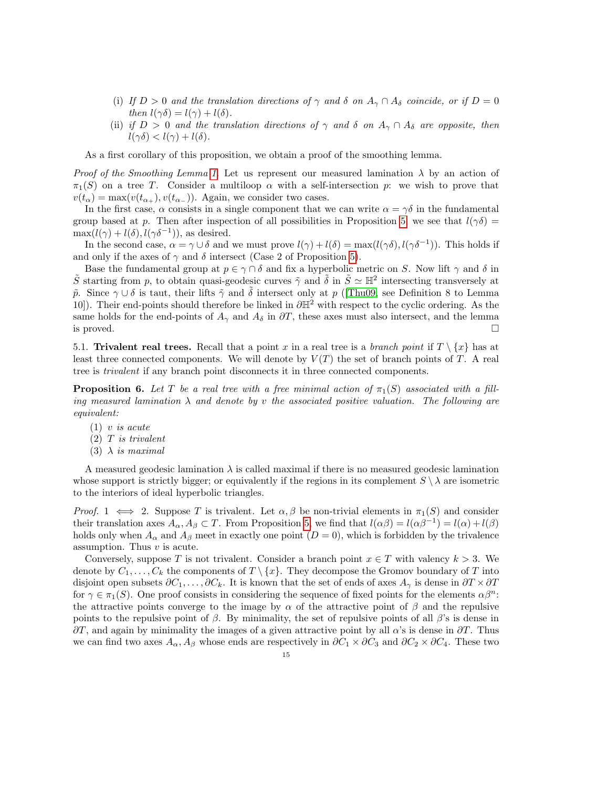- (i) If  $D > 0$  and the translation directions of  $\gamma$  and  $\delta$  on  $A_{\gamma} \cap A_{\delta}$  coincide, or if  $D = 0$ then  $l(\gamma\delta) = l(\gamma) + l(\delta)$ .
- (ii) if  $D > 0$  and the translation directions of  $\gamma$  and  $\delta$  on  $A_{\gamma} \cap A_{\delta}$  are opposite, then  $l(\gamma\delta) < l(\gamma) + l(\delta).$

As a first corollary of this proposition, we obtain a proof of the smoothing lemma.

Proof of the Smoothing Lemma [1.](#page-8-0) Let us represent our measured lamination  $\lambda$  by an action of  $\pi_1(S)$  on a tree T. Consider a multiloop  $\alpha$  with a self-intersection p: we wish to prove that  $v(t_{\alpha}) = \max(v(t_{\alpha_{+}}), v(t_{\alpha_{-}}))$ . Again, we consider two cases.

In the first case,  $\alpha$  consists in a single component that we can write  $\alpha = \gamma \delta$  in the fundamental group based at p. Then after inspection of all possibilities in Proposition [5,](#page-13-1) we see that  $l(\gamma\delta)$  =  $\max(l(\gamma) + l(\delta), l(\gamma \delta^{-1})),$  as desired.

In the second case,  $\alpha = \gamma \cup \delta$  and we must prove  $l(\gamma) + l(\delta) = \max(l(\gamma \delta), l(\gamma \delta^{-1}))$ . This holds if and only if the axes of  $\gamma$  and  $\delta$  intersect (Case 2 of Proposition [5\)](#page-13-1).

Base the fundamental group at  $p \in \gamma \cap \delta$  and fix a hyperbolic metric on S. Now lift  $\gamma$  and  $\delta$  in  $\tilde{S}$  starting from p, to obtain quasi-geodesic curves  $\tilde{\gamma}$  and  $\tilde{\delta}$  in  $\tilde{S} \simeq \mathbb{H}^2$  intersecting transversely at  $\tilde{p}$ . Since γ∪δ is taut, their lifts  $\tilde{\gamma}$  and  $\tilde{\delta}$  intersect only at p ([\[Thu09,](#page-23-12) see Definition 8 to Lemma 10]). Their end-points should therefore be linked in  $\partial \mathbb{H}^2$  with respect to the cyclic ordering. As the same holds for the end-points of  $A_{\gamma}$  and  $A_{\delta}$  in  $\partial T$ , these axes must also intersect, and the lemma is proved.  $\Box$ 

5.1. Trivalent real trees. Recall that a point x in a real tree is a branch point if  $T \setminus \{x\}$  has at least three connected components. We will denote by  $V(T)$  the set of branch points of T. A real tree is trivalent if any branch point disconnects it in three connected components.

<span id="page-14-0"></span>**Proposition 6.** Let T be a real tree with a free minimal action of  $\pi_1(S)$  associated with a filling measured lamination  $\lambda$  and denote by v the associated positive valuation. The following are equivalent:

- $(1)$  v is acute
- $(2)$  T is trivalent
- (3)  $\lambda$  is maximal

A measured geodesic lamination  $\lambda$  is called maximal if there is no measured geodesic lamination whose support is strictly bigger; or equivalently if the regions in its complement  $S \setminus \lambda$  are isometric to the interiors of ideal hyperbolic triangles.

*Proof.* 1  $\iff$  2. Suppose T is trivalent. Let  $\alpha, \beta$  be non-trivial elements in  $\pi_1(S)$  and consider their translation axes  $A_{\alpha}, A_{\beta} \subset T$ . From Proposition [5,](#page-13-1) we find that  $l(\alpha\beta) = l(\alpha\beta^{-1}) = l(\alpha) + l(\beta)$ holds only when  $A_{\alpha}$  and  $A_{\beta}$  meet in exactly one point  $(D = 0)$ , which is forbidden by the trivalence assumption. Thus  $v$  is acute.

Conversely, suppose T is not trivalent. Consider a branch point  $x \in T$  with valency  $k > 3$ . We denote by  $C_1, \ldots, C_k$  the components of  $T \setminus \{x\}$ . They decompose the Gromov boundary of T into disjoint open subsets  $\partial C_1, \ldots, \partial C_k$ . It is known that the set of ends of axes  $A_\gamma$  is dense in  $\partial T \times \partial T$ for  $\gamma \in \pi_1(S)$ . One proof consists in considering the sequence of fixed points for the elements  $\alpha \beta^n$ : the attractive points converge to the image by  $\alpha$  of the attractive point of  $\beta$  and the repulsive points to the repulsive point of  $\beta$ . By minimality, the set of repulsive points of all  $\beta$ 's is dense in  $\partial T$ , and again by minimality the images of a given attractive point by all  $\alpha$ 's is dense in  $\partial T$ . Thus we can find two axes  $A_{\alpha}$ ,  $A_{\beta}$  whose ends are respectively in  $\partial C_1 \times \partial C_3$  and  $\partial C_2 \times \partial C_4$ . These two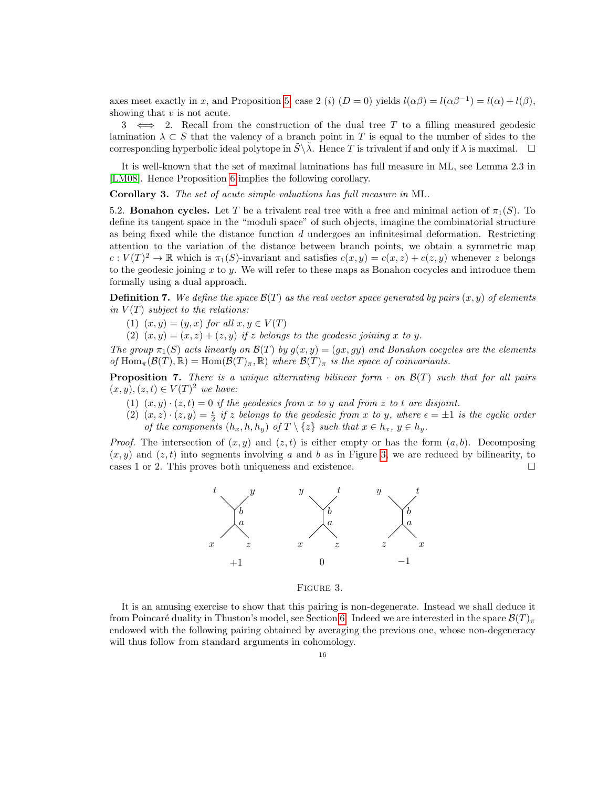axes meet exactly in x, and Proposition [5,](#page-13-1) case 2 (i)  $(D = 0)$  yields  $l(\alpha\beta) = l(\alpha\beta^{-1}) = l(\alpha) + l(\beta)$ , showing that  $v$  is not acute.

3  $\iff$  2. Recall from the construction of the dual tree T to a filling measured geodesic lamination  $\lambda \subset S$  that the valency of a branch point in T is equal to the number of sides to the corresponding hyperbolic ideal polytope in  $\tilde{S}\backslash \tilde{\lambda}$ . Hence T is trivalent if and only if  $\lambda$  is maximal.  $\Box$ 

It is well-known that the set of maximal laminations has full measure in ML, see Lemma 2.3 in [\[LM08\]](#page-23-19). Hence Proposition [6](#page-14-0) implies the following corollary.

Corollary 3. The set of acute simple valuations has full measure in ML.

5.2. **Bonahon cycles.** Let T be a trivalent real tree with a free and minimal action of  $\pi_1(S)$ . To define its tangent space in the "moduli space" of such objects, imagine the combinatorial structure as being fixed while the distance function  $d$  undergoes an infinitesimal deformation. Restricting attention to the variation of the distance between branch points, we obtain a symmetric map  $c: V(T)^2 \to \mathbb{R}$  which is  $\pi_1(S)$ -invariant and satisfies  $c(x, y) = c(x, z) + c(z, y)$  whenever z belongs to the geodesic joining x to y. We will refer to these maps as Bonahon cocycles and introduce them formally using a dual approach.

**Definition 7.** We define the space  $\mathcal{B}(T)$  as the real vector space generated by pairs  $(x, y)$  of elements in  $V(T)$  subject to the relations:

- (1)  $(x, y) = (y, x)$  for all  $x, y \in V(T)$
- (2)  $(x, y) = (x, z) + (z, y)$  if z belongs to the geodesic joining x to y.

The group  $\pi_1(S)$  acts linearly on  $\mathcal{B}(T)$  by  $g(x, y) = (gx, gy)$  and Bonahon cocycles are the elements of  $\text{Hom}_{\pi}(\mathcal{B}(T), \mathbb{R}) = \text{Hom}(\mathcal{B}(T)_{\pi}, \mathbb{R})$  where  $\mathcal{B}(T)_{\pi}$  is the space of coinvariants.

<span id="page-15-1"></span>**Proposition 7.** There is a unique alternating bilinear form  $\cdot$  on  $\mathcal{B}(T)$  such that for all pairs  $(x, y), (z, t) \in V(T)^2$  we have:

- (1)  $(x, y) \cdot (z, t) = 0$  if the geodesics from x to y and from z to t are disjoint.
- (2)  $(x, z) \cdot (z, y) = \frac{\epsilon}{2}$  if z belongs to the geodesic from x to y, where  $\epsilon = \pm 1$  is the cyclic order of the components  $(h_x, h, h_y)$  of  $T \setminus \{z\}$  such that  $x \in h_x$ ,  $y \in h_y$ .

*Proof.* The intersection of  $(x, y)$  and  $(z, t)$  is either empty or has the form  $(a, b)$ . Decomposing  $(x, y)$  and  $(z, t)$  into segments involving a and b as in Figure [3,](#page-15-0) we are reduced by bilinearity, to cases 1 or 2. This proves both uniqueness and existence.



#### <span id="page-15-0"></span>FIGURE 3.

It is an amusing exercise to show that this pairing is non-degenerate. Instead we shall deduce it from Poincaré duality in Thuston's model, see Section [6.](#page-18-0) Indeed we are interested in the space  $\mathcal{B}(T)_{\pi}$ endowed with the following pairing obtained by averaging the previous one, whose non-degeneracy will thus follow from standard arguments in cohomology.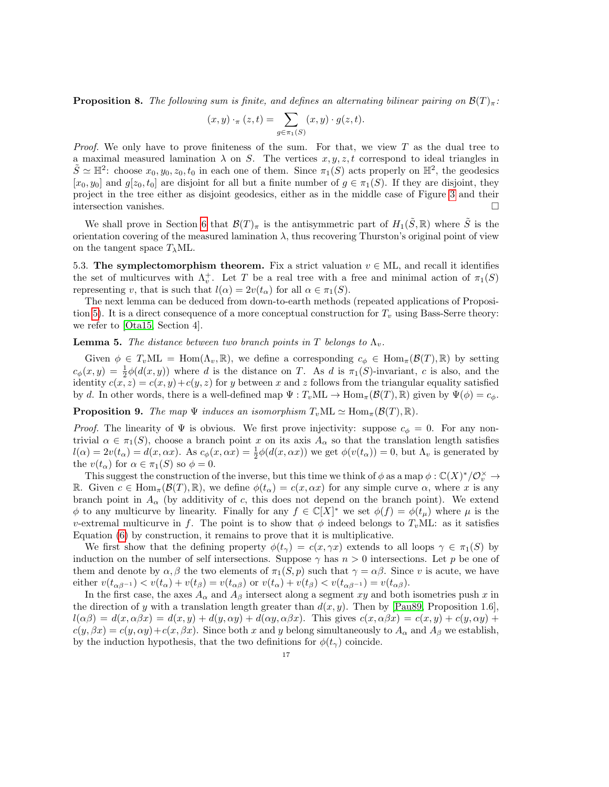**Proposition 8.** The following sum is finite, and defines an alternating bilinear pairing on  $\mathcal{B}(T)_{\pi}$ :

$$
(x,y) \cdot_{\pi} (z,t) = \sum_{g \in \pi_1(S)} (x,y) \cdot g(z,t).
$$

*Proof.* We only have to prove finiteness of the sum. For that, we view  $T$  as the dual tree to a maximal measured lamination  $\lambda$  on S. The vertices  $x, y, z, t$  correspond to ideal triangles in  $\tilde{S} \simeq \mathbb{H}^2$ : choose  $x_0, y_0, z_0, t_0$  in each one of them. Since  $\pi_1(S)$  acts properly on  $\mathbb{H}^2$ , the geodesics  $[x_0, y_0]$  and  $g[z_0, t_0]$  are disjoint for all but a finite number of  $g \in \pi_1(S)$ . If they are disjoint, they project in the tree either as disjoint geodesics, either as in the middle case of Figure [3](#page-15-0) and their intersection vanishes.

We shall prove in Section [6](#page-18-0) that  $\mathcal{B}(T)_\pi$  is the antisymmetric part of  $H_1(\tilde{S}, \mathbb{R})$  where  $\tilde{S}$  is the orientation covering of the measured lamination  $\lambda$ , thus recovering Thurston's original point of view on the tangent space  $T_{\lambda}ML$ .

5.3. The symplectomorphism theorem. Fix a strict valuation  $v \in ML$ , and recall it identifies the set of multicurves with  $\Lambda_v^+$ . Let T be a real tree with a free and minimal action of  $\pi_1(S)$ representing v, that is such that  $l(\alpha) = 2v(t_\alpha)$  for all  $\alpha \in \pi_1(S)$ .

The next lemma can be deduced from down-to-earth methods (repeated applications of Proposi-tion [5\)](#page-13-1). It is a direct consequence of a more conceptual construction for  $T_v$  using Bass-Serre theory: we refer to [\[Ota15,](#page-23-13) Section 4].

**Lemma 5.** The distance between two branch points in T belongs to  $\Lambda_v$ .

Given  $\phi \in T_vML = \text{Hom}(\Lambda_v, \mathbb{R})$ , we define a corresponding  $c_{\phi} \in \text{Hom}_{\pi}(\mathcal{B}(T), \mathbb{R})$  by setting  $c_{\phi}(x, y) = \frac{1}{2}\phi(d(x, y))$  where d is the distance on T. As d is  $\pi_1(S)$ -invariant, c is also, and the identity  $c(x, z) = c(x, y) + c(y, z)$  for y between x and z follows from the triangular equality satisfied by d. In other words, there is a well-defined map  $\Psi : T_vML \to \text{Hom}_{\pi}(\mathcal{B}(T), \mathbb{R})$  given by  $\Psi(\phi) = c_{\phi}$ .

**Proposition 9.** The map  $\Psi$  induces an isomorphism  $T_vML \simeq \text{Hom}_{\pi}(\mathcal{B}(T), \mathbb{R})$ .

*Proof.* The linearity of  $\Psi$  is obvious. We first prove injectivity: suppose  $c_{\phi} = 0$ . For any nontrivial  $\alpha \in \pi_1(S)$ , choose a branch point x on its axis  $A_\alpha$  so that the translation length satisfies  $l(\alpha) = 2v(t_\alpha) = d(x, \alpha x)$ . As  $c_\phi(x, \alpha x) = \frac{1}{2}\phi(d(x, \alpha x))$  we get  $\phi(v(t_\alpha)) = 0$ , but  $\Lambda_v$  is generated by the  $v(t_\alpha)$  for  $\alpha \in \pi_1(S)$  so  $\phi = 0$ .

This suggest the construction of the inverse, but this time we think of  $\phi$  as a map  $\phi : \mathbb{C}(X)^*/\mathbb{O}_v^{\times} \to$ R. Given  $c \in \text{Hom}_{\pi}(\mathcal{B}(T), \mathbb{R})$ , we define  $\phi(t_{\alpha}) = c(x, \alpha x)$  for any simple curve  $\alpha$ , where x is any branch point in  $A_{\alpha}$  (by additivity of c, this does not depend on the branch point). We extend  $\phi$  to any multicurve by linearity. Finally for any  $f \in \mathbb{C}[X]^*$  we set  $\phi(f) = \phi(t_\mu)$  where  $\mu$  is the v-extremal multicurve in f. The point is to show that  $\phi$  indeed belongs to  $T_v$ ML: as it satisfies Equation [\(6\)](#page-11-2) by construction, it remains to prove that it is multiplicative.

We first show that the defining property  $\phi(t_\gamma) = c(x, \gamma x)$  extends to all loops  $\gamma \in \pi_1(S)$  by induction on the number of self intersections. Suppose  $\gamma$  has  $n > 0$  intersections. Let p be one of them and denote by  $\alpha, \beta$  the two elements of  $\pi_1(S, p)$  such that  $\gamma = \alpha \beta$ . Since v is acute, we have either  $v(t_{\alpha\beta^{-1}}) < v(t_{\alpha}) + v(t_{\beta}) = v(t_{\alpha\beta})$  or  $v(t_{\alpha}) + v(t_{\beta}) < v(t_{\alpha\beta^{-1}}) = v(t_{\alpha\beta}).$ 

In the first case, the axes  $A_{\alpha}$  and  $A_{\beta}$  intersect along a segment xy and both isometries push x in the direction of y with a translation length greater than  $d(x, y)$ . Then by [\[Pau89,](#page-23-20) Proposition 1.6],  $l(\alpha\beta) = d(x, \alpha\beta x) = d(x, y) + d(y, \alpha y) + d(\alpha y, \alpha\beta x)$ . This gives  $c(x, \alpha\beta x) = c(x, y) + c(y, \alpha y) + c(y, \alpha\beta x)$  $c(y, \beta x) = c(y, \alpha y) + c(x, \beta x)$ . Since both x and y belong simultaneously to  $A_{\alpha}$  and  $A_{\beta}$  we establish, by the induction hypothesis, that the two definitions for  $\phi(t_\gamma)$  coincide.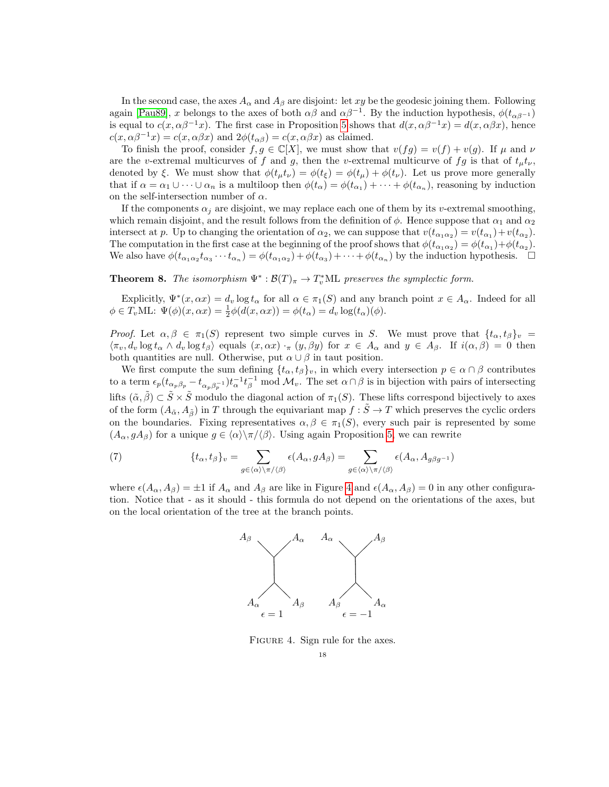In the second case, the axes  $A_{\alpha}$  and  $A_{\beta}$  are disjoint: let xy be the geodesic joining them. Following again [\[Pau89\]](#page-23-20), x belongs to the axes of both  $\alpha\beta$  and  $\alpha\beta^{-1}$ . By the induction hypothesis,  $\phi(t_{\alpha\beta^{-1}})$ is equal to  $c(x, \alpha\beta^{-1}x)$ . The first case in Proposition [5](#page-13-1) shows that  $d(x, \alpha\beta^{-1}x) = d(x, \alpha\beta x)$ , hence  $c(x, \alpha\beta^{-1}x) = c(x, \alpha\beta x)$  and  $2\phi(t_{\alpha\beta}) = c(x, \alpha\beta x)$  as claimed.

To finish the proof, consider  $f, g \in \mathbb{C}[X]$ , we must show that  $v(fg) = v(f) + v(g)$ . If  $\mu$  and  $\nu$ are the v-extremal multicurves of f and g, then the v-extremal multicurve of fg is that of  $t_{\mu}t_{\nu}$ , denoted by  $\xi$ . We must show that  $\phi(t_{\mu}t_{\nu}) = \phi(t_{\xi}) = \phi(t_{\mu}) + \phi(t_{\nu})$ . Let us prove more generally that if  $\alpha = \alpha_1 \cup \cdots \cup \alpha_n$  is a multiloop then  $\phi(t_\alpha) = \phi(t_{\alpha_1}) + \cdots + \phi(t_{\alpha_n})$ , reasoning by induction on the self-intersection number of  $\alpha$ .

If the components  $\alpha_j$  are disjoint, we may replace each one of them by its v-extremal smoothing, which remain disjoint, and the result follows from the definition of  $\phi$ . Hence suppose that  $\alpha_1$  and  $\alpha_2$ intersect at p. Up to changing the orientation of  $\alpha_2$ , we can suppose that  $v(t_{\alpha_1\alpha_2}) = v(t_{\alpha_1}) + v(t_{\alpha_2})$ . The computation in the first case at the beginning of the proof shows that  $\phi(t_{\alpha_1\alpha_2}) = \phi(t_{\alpha_1}) + \phi(t_{\alpha_2})$ . We also have  $\phi(t_{\alpha_1\alpha_2}t_{\alpha_3}\cdots t_{\alpha_n}) = \phi(t_{\alpha_1\alpha_2}) + \phi(t_{\alpha_3}) + \cdots + \phi(t_{\alpha_n})$  by the induction hypothesis.  $\square$ 

**Theorem 8.** The isomorphism  $\Psi^*: \mathcal{B}(T)_\pi \to T_v^*ML$  preserves the symplectic form.

Explicitly,  $\Psi^*(x, \alpha x) = d_v \log t_\alpha$  for all  $\alpha \in \pi_1(S)$  and any branch point  $x \in A_\alpha$ . Indeed for all  $\phi \in T_v \text{ML: } \Psi(\phi)(x, \alpha x) = \frac{1}{2}\phi(d(x, \alpha x)) = \phi(t_\alpha) = d_v \log(t_\alpha)(\phi).$ 

Proof. Let  $\alpha, \beta \in \pi_1(S)$  represent two simple curves in S. We must prove that  $\{t_\alpha, t_\beta\}_v$  =  $\langle \pi_v, d_v \log t_\alpha \wedge d_v \log t_\beta \rangle$  equals  $(x, \alpha x) \cdot_\pi (y, \beta y)$  for  $x \in A_\alpha$  and  $y \in A_\beta$ . If  $i(\alpha, \beta) = 0$  then both quantities are null. Otherwise, put  $\alpha \cup \beta$  in taut position.

We first compute the sum defining  $\{t_{\alpha}, t_{\beta}\}_v$ , in which every intersection  $p \in \alpha \cap \beta$  contributes to a term  $\epsilon_p(t_{\alpha_p\beta_p} - t_{\alpha_p\beta_p^{-1}})t_{\alpha}^{-1}t_{\beta}^{-1} \mod \mathcal{M}_v$ . The set  $\alpha \cap \beta$  is in bijection with pairs of intersecting lifts  $(\tilde{\alpha}, \tilde{\beta}) \subset \tilde{S} \times \tilde{S}$  modulo the diagonal action of  $\pi_1(S)$ . These lifts correspond bijectively to axes of the form  $(A_{\tilde{\alpha}}, A_{\tilde{\beta}})$  in T through the equivariant map  $f : \tilde{S} \to T$  which preserves the cyclic orders on the boundaries. Fixing representatives  $\alpha, \beta \in \pi_1(S)$ , every such pair is represented by some  $(A_{\alpha}, gA_{\beta})$  for a unique  $g \in \langle \alpha \rangle \backslash \pi / \langle \beta \rangle$ . Using again Proposition [5,](#page-13-1) we can rewrite

<span id="page-17-1"></span>(7) 
$$
\{t_{\alpha}, t_{\beta}\}_v = \sum_{g \in \langle \alpha \rangle \setminus \pi / \langle \beta \rangle} \epsilon(A_{\alpha}, gA_{\beta}) = \sum_{g \in \langle \alpha \rangle \setminus \pi / \langle \beta \rangle} \epsilon(A_{\alpha}, A_{g\beta g^{-1}})
$$

where  $\epsilon(A_\alpha, A_\beta) = \pm 1$  if  $A_\alpha$  and  $A_\beta$  are like in Figure [4](#page-17-0) and  $\epsilon(A_\alpha, A_\beta) = 0$  in any other configuration. Notice that - as it should - this formula do not depend on the orientations of the axes, but on the local orientation of the tree at the branch points.



<span id="page-17-0"></span>FIGURE 4. Sign rule for the axes.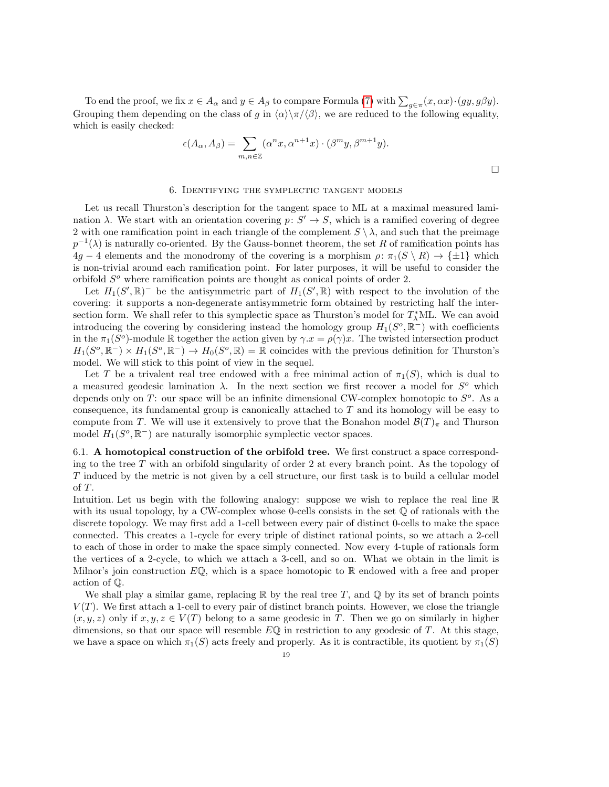To end the proof, we fix  $x \in A_\alpha$  and  $y \in A_\beta$  to compare Formula [\(7\)](#page-17-1) with  $\sum_{g \in \pi} (x, \alpha x) \cdot (gy, g\beta y)$ . Grouping them depending on the class of g in  $\langle \alpha \rangle \langle \pi/\langle \beta \rangle$ , we are reduced to the following equality, which is easily checked:

$$
\epsilon(A_{\alpha}, A_{\beta}) = \sum_{m,n \in \mathbb{Z}} (\alpha^n x, \alpha^{n+1} x) \cdot (\beta^m y, \beta^{m+1} y).
$$

#### 6. Identifying the symplectic tangent models

<span id="page-18-0"></span>Let us recall Thurston's description for the tangent space to ML at a maximal measured lamination  $\lambda$ . We start with an orientation covering  $p: S' \to S$ , which is a ramified covering of degree 2 with one ramification point in each triangle of the complement  $S \setminus \lambda$ , and such that the preimage  $p^{-1}(\lambda)$  is naturally co-oriented. By the Gauss-bonnet theorem, the set R of ramification points has  $4g - 4$  elements and the monodromy of the covering is a morphism  $\rho: \pi_1(S \setminus R) \to {\pm 1}$  which is non-trivial around each ramification point. For later purposes, it will be useful to consider the orbifold  $S<sup>o</sup>$  where ramification points are thought as conical points of order 2.

Let  $H_1(S', \mathbb{R})$ <sup>-</sup> be the antisymmetric part of  $H_1(S', \mathbb{R})$  with respect to the involution of the covering: it supports a non-degenerate antisymmetric form obtained by restricting half the intersection form. We shall refer to this symplectic space as Thurston's model for  $T^*_{\lambda}$ ML. We can avoid introducing the covering by considering instead the homology group  $H_1(S^o, \mathbb{R}^-)$  with coefficients in the  $\pi_1(S^o)$ -module R together the action given by  $\gamma.x = \rho(\gamma)x$ . The twisted intersection product  $H_1(S^o, \mathbb{R}^-) \times H_1(S^o, \mathbb{R}^-) \to H_0(S^o, \mathbb{R}) = \mathbb{R}$  coincides with the previous definition for Thurston's model. We will stick to this point of view in the sequel.

Let T be a trivalent real tree endowed with a free minimal action of  $\pi_1(S)$ , which is dual to a measured geodesic lamination  $\lambda$ . In the next section we first recover a model for  $S^{\circ}$  which depends only on T: our space will be an infinite dimensional CW-complex homotopic to  $S<sup>o</sup>$ . As a consequence, its fundamental group is canonically attached to T and its homology will be easy to compute from T. We will use it extensively to prove that the Bonahon model  $\mathcal{B}(T)_\pi$  and Thurson model  $H_1(S^o, \mathbb{R}^-)$  are naturally isomorphic symplectic vector spaces.

6.1. A homotopical construction of the orbifold tree. We first construct a space corresponding to the tree  $T$  with an orbifold singularity of order 2 at every branch point. As the topology of T induced by the metric is not given by a cell structure, our first task is to build a cellular model of T.

Intuition. Let us begin with the following analogy: suppose we wish to replace the real line R with its usual topology, by a CW-complex whose 0-cells consists in the set  $\mathbb Q$  of rationals with the discrete topology. We may first add a 1-cell between every pair of distinct 0-cells to make the space connected. This creates a 1-cycle for every triple of distinct rational points, so we attach a 2-cell to each of those in order to make the space simply connected. Now every 4-tuple of rationals form the vertices of a 2-cycle, to which we attach a 3-cell, and so on. What we obtain in the limit is Milnor's join construction  $E\mathbb{Q}$ , which is a space homotopic to  $\mathbb{R}$  endowed with a free and proper action of Q.

We shall play a similar game, replacing  $\mathbb R$  by the real tree T, and  $\mathbb Q$  by its set of branch points  $V(T)$ . We first attach a 1-cell to every pair of distinct branch points. However, we close the triangle  $(x, y, z)$  only if  $x, y, z \in V(T)$  belong to a same geodesic in T. Then we go on similarly in higher dimensions, so that our space will resemble  $E\mathbb{Q}$  in restriction to any geodesic of T. At this stage, we have a space on which  $\pi_1(S)$  acts freely and properly. As it is contractible, its quotient by  $\pi_1(S)$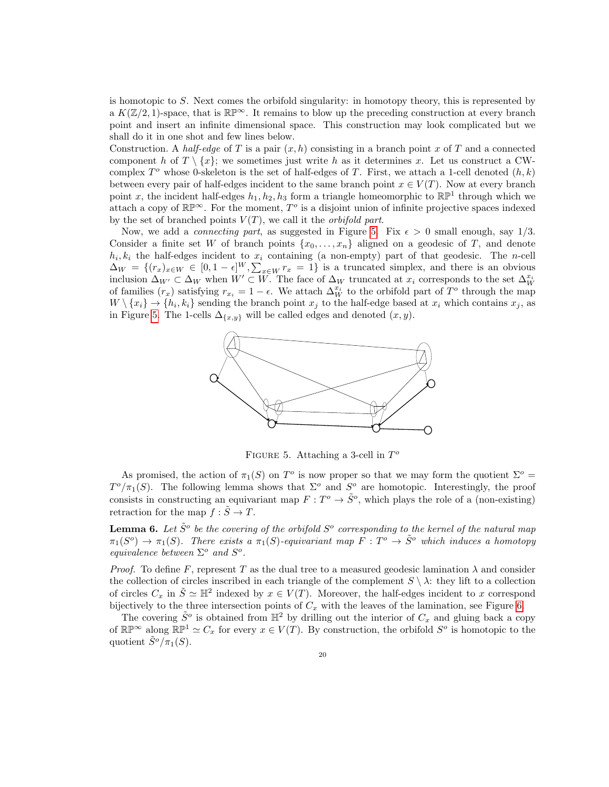is homotopic to  $S$ . Next comes the orbifold singularity: in homotopy theory, this is represented by a  $K(\mathbb{Z}/2, 1)$ -space, that is  $\mathbb{RP}^{\infty}$ . It remains to blow up the preceding construction at every branch point and insert an infinite dimensional space. This construction may look complicated but we shall do it in one shot and few lines below.

Construction. A half-edge of T is a pair  $(x, h)$  consisting in a branch point x of T and a connected component h of  $T \setminus \{x\}$ ; we sometimes just write h as it determines x. Let us construct a CWcomplex  $T^o$  whose 0-skeleton is the set of half-edges of T. First, we attach a 1-cell denoted  $(h, k)$ between every pair of half-edges incident to the same branch point  $x \in V(T)$ . Now at every branch point x, the incident half-edges  $h_1, h_2, h_3$  form a triangle homeomorphic to  $\mathbb{RP}^1$  through which we attach a copy of  $\mathbb{RP}^{\infty}$ . For the moment,  $T^o$  is a disjoint union of infinite projective spaces indexed by the set of branched points  $V(T)$ , we call it the *orbifold part*.

Now, we add a *connecting part*, as suggested in Figure [5.](#page-19-0) Fix  $\epsilon > 0$  small enough, say 1/3. Consider a finite set W of branch points  $\{x_0, \ldots, x_n\}$  aligned on a geodesic of T, and denote  $h_i, k_i$  the half-edges incident to  $x_i$  containing (a non-empty) part of that geodesic. The *n*-cell  $\Delta_W = \{(r_x)_{x \in W} \in [0, 1 - \epsilon]^W, \sum_{x \in W} r_x = 1\}$  is a truncated simplex, and there is an obvious inclusion  $\Delta_{W'} \subset \Delta_W$  when  $W' \subset W$ . The face of  $\Delta_W$  truncated at  $x_i$  corresponds to the set  $\Delta_W^{x_i}$ of families  $(r_x)$  satisfying  $r_{x_i} = 1 - \epsilon$ . We attach  $\Delta_W^{x_i}$  to the orbifold part of  $T^o$  through the map  $W \setminus \{x_i\} \to \{h_i, k_i\}$  sending the branch point  $x_j$  to the half-edge based at  $x_i$  which contains  $x_j$ , as in Figure [5.](#page-19-0) The 1-cells  $\Delta_{\{x,y\}}$  will be called edges and denoted  $(x, y)$ .



<span id="page-19-0"></span>FIGURE 5. Attaching a 3-cell in  $T<sup>o</sup>$ 

As promised, the action of  $\pi_1(S)$  on  $T^o$  is now proper so that we may form the quotient  $\Sigma^o$  =  $T^o/\pi_1(S)$ . The following lemma shows that  $\Sigma^o$  and  $S^o$  are homotopic. Interestingly, the proof consists in constructing an equivariant map  $F: T^{\circ} \to \tilde{S}^{\circ}$ , which plays the role of a (non-existing) retraction for the map  $f : \tilde{S} \to T$ .

**Lemma 6.** Let  $\tilde{S}^o$  be the covering of the orbifold  $S^o$  corresponding to the kernel of the natural map  $\pi_1(S^o) \to \pi_1(S)$ . There exists a  $\pi_1(S)$ -equivariant map  $F: T^o \to \tilde{S}^o$  which induces a homotopy equivalence between  $\Sigma^o$  and  $S^o$ .

*Proof.* To define F, represent T as the dual tree to a measured geodesic lamination  $\lambda$  and consider the collection of circles inscribed in each triangle of the complement  $S \setminus \lambda$ : they lift to a collection of circles  $C_x$  in  $\tilde{S} \simeq \mathbb{H}^2$  indexed by  $x \in V(T)$ . Moreover, the half-edges incident to x correspond bijectively to the three intersection points of  $C_x$  with the leaves of the lamination, see Figure [6.](#page-20-0)

The covering  $\tilde{S}^o$  is obtained from  $\mathbb{H}^2$  by drilling out the interior of  $C_x$  and gluing back a copy of  $\mathbb{RP}^{\infty}$  along  $\mathbb{RP}^1 \simeq C_x$  for every  $x \in V(T)$ . By construction, the orbifold  $S^o$  is homotopic to the quotient  $\tilde{S}^{\circ}/\pi_1(S)$ .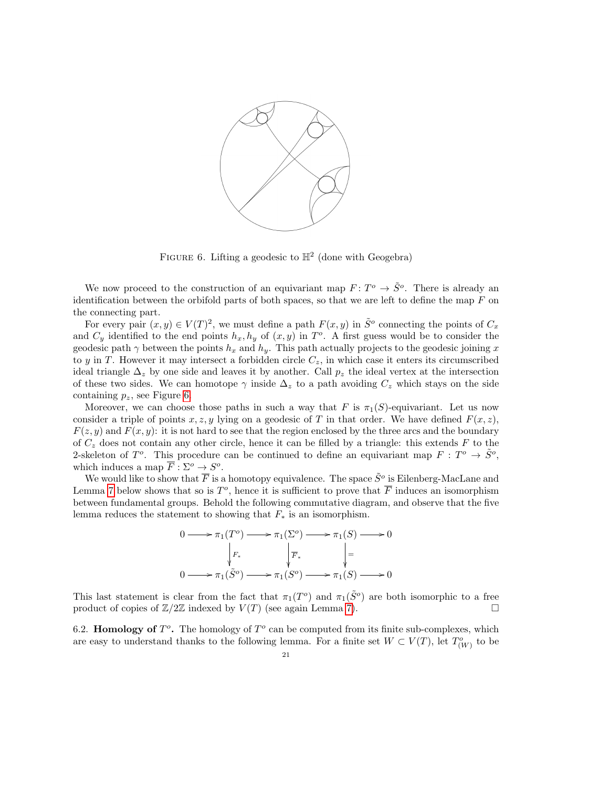

<span id="page-20-0"></span>FIGURE 6. Lifting a geodesic to  $\mathbb{H}^2$  (done with Geogebra)

We now proceed to the construction of an equivariant map  $F: T^{\circ} \to \tilde{S}^{\circ}$ . There is already an identification between the orbifold parts of both spaces, so that we are left to define the map  $F$  on the connecting part.

For every pair  $(x, y) \in V(T)^2$ , we must define a path  $F(x, y)$  in  $\tilde{S}^o$  connecting the points of  $C_x$ and  $C_y$  identified to the end points  $h_x, h_y$  of  $(x, y)$  in  $T<sup>o</sup>$ . A first guess would be to consider the geodesic path  $\gamma$  between the points  $h_x$  and  $h_y$ . This path actually projects to the geodesic joining x to y in T. However it may intersect a forbidden circle  $C_z$ , in which case it enters its circumscribed ideal triangle  $\Delta_z$  by one side and leaves it by another. Call  $p_z$  the ideal vertex at the intersection of these two sides. We can homotope  $\gamma$  inside  $\Delta_z$  to a path avoiding  $C_z$  which stays on the side containing  $p_z$ , see Figure [6.](#page-20-0)

Moreover, we can choose those paths in such a way that F is  $\pi_1(S)$ -equivariant. Let us now consider a triple of points x, z, y lying on a geodesic of T in that order. We have defined  $F(x, z)$ ,  $F(z, y)$  and  $F(x, y)$ : it is not hard to see that the region enclosed by the three arcs and the boundary of  $C<sub>z</sub>$  does not contain any other circle, hence it can be filled by a triangle: this extends F to the 2-skeleton of  $T^o$ . This procedure can be continued to define an equivariant map  $F: T^o \to \tilde{S}^o$ , which induces a map  $\overline{F} : \Sigma^o \to S^o$ .

We would like to show that  $\overline{F}$  is a homotopy equivalence. The space  $\tilde{S}^o$  is Eilenberg-MacLane and Lemma [7](#page-21-0) below shows that so is  $T^o$ , hence it is sufficient to prove that  $\overline{F}$  induces an isomorphism between fundamental groups. Behold the following commutative diagram, and observe that the five lemma reduces the statement to showing that  $F_*$  is an isomorphism.



This last statement is clear from the fact that  $\pi_1(T^o)$  and  $\pi_1(\tilde{S}^o)$  are both isomorphic to a free product of copies of  $\mathbb{Z}/2\mathbb{Z}$  indexed by  $V(T)$  (see again Lemma [7\)](#page-21-0).

6.2. Homology of  $T^o$ . The homology of  $T^o$  can be computed from its finite sub-complexes, which are easy to understand thanks to the following lemma. For a finite set  $W \subset V(T)$ , let  $T^o_{(W)}$  to be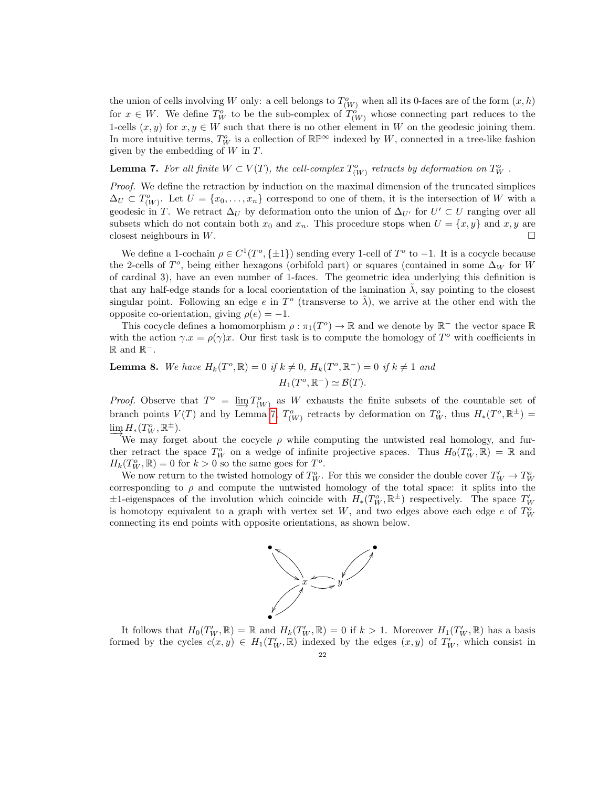the union of cells involving W only: a cell belongs to  $T^o_{(W)}$  when all its 0-faces are of the form  $(x, h)$ for  $x \in W$ . We define  $T_W^o$  to be the sub-complex of  $T_{(W)}^o$  whose connecting part reduces to the 1-cells  $(x, y)$  for  $x, y \in W$  such that there is no other element in W on the geodesic joining them. In more intuitive terms,  $T_W^o$  is a collection of  $\mathbb{RP}^\infty$  indexed by W, connected in a tree-like fashion given by the embedding of  $W$  in  $T$ .

<span id="page-21-0"></span>**Lemma 7.** For all finite  $W \subset V(T)$ , the cell-complex  $T^o_{(W)}$  retracts by deformation on  $T^o_W$ .

Proof. We define the retraction by induction on the maximal dimension of the truncated simplices  $\Delta_U \subset T^o_{(W)}$ . Let  $U = \{x_0, \ldots, x_n\}$  correspond to one of them, it is the intersection of W with a geodesic in T. We retract  $\Delta_U$  by deformation onto the union of  $\Delta_{U'}$  for  $U' \subset U$  ranging over all subsets which do not contain both  $x_0$  and  $x_n$ . This procedure stops when  $U = \{x, y\}$  and  $x, y$  are closest neighbours in W.

We define a 1-cochain  $\rho \in C^1(T^o, \{\pm 1\})$  sending every 1-cell of  $T^o$  to  $-1$ . It is a cocycle because the 2-cells of  $T^o$ , being either hexagons (orbifold part) or squares (contained in some  $\Delta_W$  for W of cardinal 3), have an even number of 1-faces. The geometric idea underlying this definition is that any half-edge stands for a local coorientation of the lamination  $\tilde{\lambda}$ , say pointing to the closest singular point. Following an edge e in  $T^o$  (transverse to  $\tilde{\lambda}$ ), we arrive at the other end with the opposite co-orientation, giving  $\rho(e) = -1$ .

This cocycle defines a homomorphism  $\rho : \pi_1(T^o) \to \mathbb{R}$  and we denote by  $\mathbb{R}^-$  the vector space  $\mathbb{R}$ with the action  $\gamma x = \rho(\gamma)x$ . Our first task is to compute the homology of  $T^{\circ}$  with coefficients in  $ℝ$  and  $ℝ^-$ .

<span id="page-21-1"></span>**Lemma 8.** We have  $H_k(T^o, \mathbb{R}) = 0$  if  $k \neq 0$ ,  $H_k(T^o, \mathbb{R}^-) = 0$  if  $k \neq 1$  and  $H_1(T^o, \mathbb{R}^-) \simeq \mathcal{B}(T).$ 

*Proof.* Observe that  $T^o = \lim_{\longrightarrow} T^o(W)$  as W exhausts the finite subsets of the countable set of branch points  $V(T)$  and by Lemma [7,](#page-21-0)  $T^o_{(W)}$  retracts by deformation on  $T^o_W$ , thus  $H_*(T^o, \mathbb{R}^{\pm}) =$  $\lim_{\longrightarrow_{\mathbf{M}^*}} H_*(T_W^o, \mathbb{R}^{\pm}).$ 

We may forget about the cocycle  $\rho$  while computing the untwisted real homology, and further retract the space  $T_W^o$  on a wedge of infinite projective spaces. Thus  $H_0(T_W^o,\mathbb{R}) = \mathbb{R}$  and  $H_k(T_W^o, \mathbb{R}) = 0$  for  $k > 0$  so the same goes for  $T^o$ .

We now return to the twisted homology of  $T_W^o$ . For this we consider the double cover  $T_W' \to T_W^o$ corresponding to  $\rho$  and compute the untwisted homology of the total space: it splits into the  $\pm 1$ -eigenspaces of the involution which coincide with  $H_*(T_W^o, \mathbb{R}^{\pm})$  respectively. The space  $T_W'$ is homotopy equivalent to a graph with vertex set W, and two edges above each edge  $e$  of  $T_W^o$ connecting its end points with opposite orientations, as shown below.



It follows that  $H_0(T'_W, \mathbb{R}) = \mathbb{R}$  and  $H_k(T'_W, \mathbb{R}) = 0$  if  $k > 1$ . Moreover  $H_1(T'_W, \mathbb{R})$  has a basis formed by the cycles  $c(x, y) \in H_1(T_W, \mathbb{R})$  indexed by the edges  $(x, y)$  of  $T_W'$ , which consist in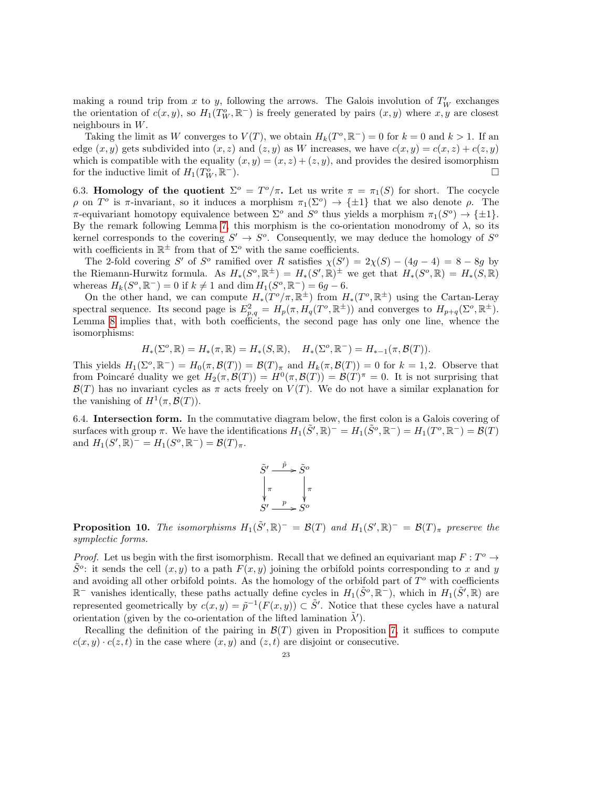making a round trip from x to y, following the arrows. The Galois involution of  $T'_W$  exchanges the orientation of  $c(x, y)$ , so  $H_1(T_W^o, \mathbb{R}^-)$  is freely generated by pairs  $(x, y)$  where  $x, y$  are closest neighbours in W.

Taking the limit as W converges to  $V(T)$ , we obtain  $H_k(T^o, \mathbb{R}^-) = 0$  for  $k = 0$  and  $k > 1$ . If an edge  $(x, y)$  gets subdivided into  $(x, z)$  and  $(z, y)$  as W increases, we have  $c(x, y) = c(x, z) + c(z, y)$ which is compatible with the equality  $(x, y) = (x, z) + (z, y)$ , and provides the desired isomorphism for the inductive limit of  $H_1(T_W^o, \mathbb{R})$ <sup>−</sup>).

<span id="page-22-0"></span>6.3. Homology of the quotient  $\Sigma^{\circ} = T^{\circ}/\pi$ . Let us write  $\pi = \pi_1(S)$  for short. The cocycle ρ on T<sup>o</sup> is π-invariant, so it induces a morphism  $\pi_1(\Sigma^o) \to {\pm 1}$  that we also denote ρ. The  $\pi$ -equivariant homotopy equivalence between  $\Sigma^o$  and  $S^o$  thus yields a morphism  $\pi_1(S^o) \to {\pm 1}$ . By the remark following Lemma [7,](#page-21-0) this morphism is the co-orientation monodromy of  $\lambda$ , so its kernel corresponds to the covering  $S' \to S^o$ . Consequently, we may deduce the homology of  $S^o$ with coefficients in  $\mathbb{R}^{\pm}$  from that of  $\Sigma^o$  with the same coefficients.

The 2-fold covering S' of S<sup>o</sup> ramified over R satisfies  $\chi(S') = 2\chi(S) - (4g - 4) = 8 - 8g$  by the Riemann-Hurwitz formula. As  $H_*(S^o, \mathbb{R}^{\pm}) = H_*(S', \mathbb{R})^{\pm}$  we get that  $H_*(S^o, \mathbb{R}) = H_*(S, \mathbb{R})$ whereas  $H_k(S^o, \mathbb{R}^-) = 0$  if  $k \neq 1$  and  $\dim H_1(S^o, \mathbb{R}^-) = 6g - 6$ .

On the other hand, we can compute  $H_*(T^o/\pi, \mathbb{R}^{\pm})$  from  $H_*(T^o, \mathbb{R}^{\pm})$  using the Cartan-Leray spectral sequence. Its second page is  $E_{p,q}^2 = H_p(\pi, H_q(T^o, \mathbb{R}^{\pm}))$  and converges to  $H_{p+q}(\Sigma^o, \mathbb{R}^{\pm})$ . Lemma [8](#page-21-1) implies that, with both coefficients, the second page has only one line, whence the isomorphisms:

$$
H_*(\Sigma^o, \mathbb{R}) = H_*(\pi, \mathbb{R}) = H_*(S, \mathbb{R}), \quad H_*(\Sigma^o, \mathbb{R}^-) = H_{*-1}(\pi, \mathcal{B}(T)).
$$

This yields  $H_1(\Sigma^o, \mathbb{R}^-) = H_0(\pi, \mathcal{B}(T)) = \mathcal{B}(T)_{\pi}$  and  $H_k(\pi, \mathcal{B}(T)) = 0$  for  $k = 1, 2$ . Observe that from Poincaré duality we get  $H_2(\pi, \mathcal{B}(T)) = H^0(\pi, \mathcal{B}(T)) = \mathcal{B}(T)^{\pi} = 0$ . It is not surprising that  $\mathcal{B}(T)$  has no invariant cycles as  $\pi$  acts freely on  $V(T)$ . We do not have a similar explanation for the vanishing of  $H^1(\pi, \mathcal{B}(T))$ .

6.4. Intersection form. In the commutative diagram below, the first colon is a Galois covering of surfaces with group  $\pi$ . We have the identifications  $H_1(\tilde{S}', \mathbb{R})^- = H_1(\tilde{S}^o, \mathbb{R}^-) = H_1(T^o, \mathbb{R}^-) = \mathcal{B}(T)$ and  $H_1(S', \mathbb{R})^- = H_1(S^o, \mathbb{R}^-) = \mathcal{B}(T)_{\pi}$ .

$$
\tilde{S}' \xrightarrow{\tilde{p}} \tilde{S}^o
$$
\n
$$
\begin{array}{ccc}\n\tilde{\pi} & \pi \\
\pi & \pi \\
S' & \to & S^o\n\end{array}
$$

**Proposition 10.** The isomorphisms  $H_1(\tilde{S}', \mathbb{R})^- = \mathcal{B}(T)$  and  $H_1(S', \mathbb{R})^- = \mathcal{B}(T)_{\pi}$  preserve the symplectic forms.

*Proof.* Let us begin with the first isomorphism. Recall that we defined an equivariant map  $F: T^o \to$  $\tilde{S}^o$ : it sends the cell  $(x, y)$  to a path  $F(x, y)$  joining the orbifold points corresponding to x and y and avoiding all other orbifold points. As the homology of the orbifold part of  $T<sup>o</sup>$  with coefficients  $\mathbb{R}^-$  vanishes identically, these paths actually define cycles in  $H_1(\tilde{S}^o, \mathbb{R}^-)$ , which in  $H_1(\tilde{S}', \mathbb{R})$  are represented geometrically by  $c(x, y) = \tilde{p}^{-1}(F(x, y)) \subset \tilde{S}'$ . Notice that these cycles have a natural orientation (given by the co-orientation of the lifted lamination  $\tilde{\lambda}'$ ).

Recalling the definition of the pairing in  $\mathcal{B}(T)$  given in Proposition [7,](#page-15-1) it suffices to compute  $c(x, y) \cdot c(z, t)$  in the case where  $(x, y)$  and  $(z, t)$  are disjoint or consecutive.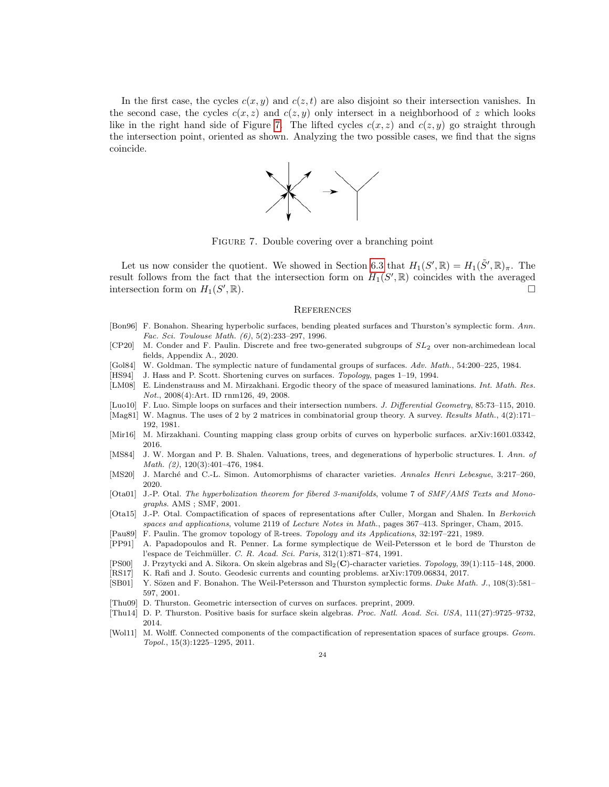In the first case, the cycles  $c(x, y)$  and  $c(z, t)$  are also disjoint so their intersection vanishes. In the second case, the cycles  $c(x, z)$  and  $c(z, y)$  only intersect in a neighborhood of z which looks like in the right hand side of Figure [7.](#page-23-21) The lifted cycles  $c(x, z)$  and  $c(z, y)$  go straight through the intersection point, oriented as shown. Analyzing the two possible cases, we find that the signs coincide.



<span id="page-23-21"></span>Figure 7. Double covering over a branching point

Let us now consider the quotient. We showed in Section [6.3](#page-22-0) that  $H_1(S', \mathbb{R}) = H_1(\tilde{S}', \mathbb{R})_{\pi}$ . The result follows from the fact that the intersection form on  $H_1(S', \mathbb{R})$  coincides with the averaged intersection form on  $H_1(S)$  $\Box$ ,  $\mathbb{R}$ ).

#### <span id="page-23-10"></span>**REFERENCES**

- <span id="page-23-9"></span>[Bon96] F. Bonahon. Shearing hyperbolic surfaces, bending pleated surfaces and Thurston's symplectic form. Ann. Fac. Sci. Toulouse Math. (6), 5(2):233–297, 1996.
- <span id="page-23-18"></span> $[CP20]$  M. Conder and F. Paulin. Discrete and free two-generated subgroups of  $SL_2$  over non-archimedean local fields, Appendix A., 2020.
- <span id="page-23-2"></span>[Gol84] W. Goldman. The symplectic nature of fundamental groups of surfaces. Adv. Math., 54:200–225, 1984.
- <span id="page-23-15"></span>[HS94] J. Hass and P. Scott. Shortening curves on surfaces. Topology, pages 1–19, 1994.
- <span id="page-23-19"></span>[LM08] E. Lindenstrauss and M. Mirzakhani. Ergodic theory of the space of measured laminations. Int. Math. Res. Not., 2008(4):Art. ID rnm126, 49, 2008.
- <span id="page-23-6"></span>[Luo10] F. Luo. Simple loops on surfaces and their intersection numbers. J. Differential Geometry, 85:73–115, 2010.
- <span id="page-23-1"></span>[Mag81] W. Magnus. The uses of 2 by 2 matrices in combinatorial group theory. A survey. Results Math., 4(2):171– 192, 1981.
- <span id="page-23-7"></span>[Mir16] M. Mirzakhani. Counting mapping class group orbits of curves on hyperbolic surfaces. arXiv:1601.03342, 2016.
- <span id="page-23-5"></span>[MS84] J. W. Morgan and P. B. Shalen. Valuations, trees, and degenerations of hyperbolic structures. I. Ann. of Math. (2), 120(3):401–476, 1984.
- <span id="page-23-0"></span>[MS20] J. Marché and C.-L. Simon. Automorphisms of character varieties. Annales Henri Lebesgue, 3:217-260, 2020.
- <span id="page-23-16"></span>[Ota01] J.-P. Otal. The hyperbolization theorem for fibered 3-manifolds, volume 7 of SMF/AMS Texts and Monographs. AMS ; SMF, 2001.
- <span id="page-23-13"></span>[Ota15] J.-P. Otal. Compactification of spaces of representations after Culler, Morgan and Shalen. In Berkovich spaces and applications, volume 2119 of Lecture Notes in Math., pages 367–413. Springer, Cham, 2015.
- <span id="page-23-20"></span>[Pau89] F. Paulin. The gromov topology of R-trees. Topology and its Applications, 32:197–221, 1989.
- <span id="page-23-3"></span>[PP91] A. Papadopoulos and R. Penner. La forme symplectique de Weil-Petersson et le bord de Thurston de l'espace de Teichmüller. C. R. Acad. Sci. Paris, 312(1):871-874, 1991.
- <span id="page-23-11"></span>[PS00] J. Przytycki and A. Sikora. On skein algebras and Sl2(C)-character varieties. Topology, 39(1):115–148, 2000.
- <span id="page-23-8"></span>[RS17] K. Rafi and J. Souto. Geodesic currents and counting problems. arXiv:1709.06834, 2017.
- <span id="page-23-4"></span>[SB01] Y. Sözen and F. Bonahon. The Weil-Petersson and Thurston symplectic forms. Duke Math. J., 108(3):581– 597, 2001.
- <span id="page-23-12"></span>[Thu09] D. Thurston. Geometric intersection of curves on surfaces. preprint, 2009.
- <span id="page-23-14"></span>[Thu14] D. P. Thurston. Positive basis for surface skein algebras. Proc. Natl. Acad. Sci. USA, 111(27):9725–9732, 2014.
- <span id="page-23-17"></span>[Wol11] M. Wolff. Connected components of the compactification of representation spaces of surface groups. Geom. Topol., 15(3):1225–1295, 2011.